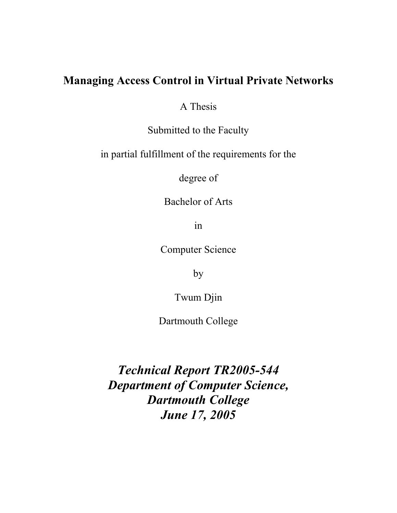# Managing Access Control in Virtual Private Networks

A Thesis

Submitted to the Faculty

in partial fulfillment of the requirements for the

degree of

Bachelor of Arts

in

Computer Science

by

Twum Djin

Dartmouth College

*Technical Report TR2005-544 Department of Computer Science, Dartmouth College June 17, 2005*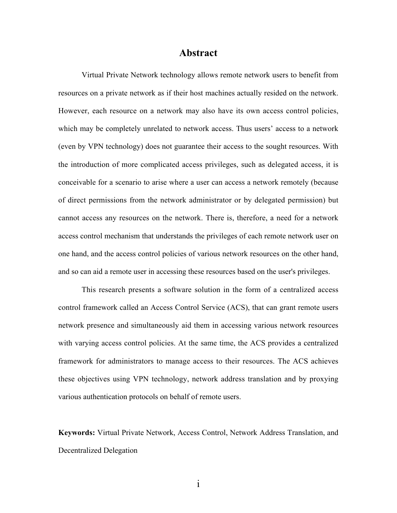### Abstract

Virtual Private Network technology allows remote network users to benefit from resources on a private network as if their host machines actually resided on the network. However, each resource on a network may also have its own access control policies, which may be completely unrelated to network access. Thus users' access to a network (even by VPN technology) does not guarantee their access to the sought resources. With the introduction of more complicated access privileges, such as delegated access, it is conceivable for a scenario to arise where a user can access a network remotely (because of direct permissions from the network administrator or by delegated permission) but cannot access any resources on the network. There is, therefore, a need for a network access control mechanism that understands the privileges of each remote network user on one hand, and the access control policies of various network resources on the other hand, and so can aid a remote user in accessing these resources based on the user's privileges.

This research presents a software solution in the form of a centralized access control framework called an Access Control Service (ACS), that can grant remote users network presence and simultaneously aid them in accessing various network resources with varying access control policies. At the same time, the ACS provides a centralized framework for administrators to manage access to their resources. The ACS achieves these objectives using VPN technology, network address translation and by proxying various authentication protocols on behalf of remote users.

Keywords: Virtual Private Network, Access Control, Network Address Translation, and Decentralized Delegation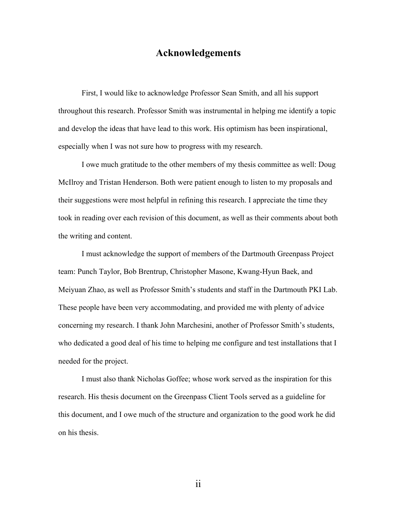### Acknowledgements

First, I would like to acknowledge Professor Sean Smith, and all his support throughout this research. Professor Smith was instrumental in helping me identify a topic and develop the ideas that have lead to this work. His optimism has been inspirational, especially when I was not sure how to progress with my research.

I owe much gratitude to the other members of my thesis committee as well: Doug McIlroy and Tristan Henderson. Both were patient enough to listen to my proposals and their suggestions were most helpful in refining this research. I appreciate the time they took in reading over each revision of this document, as well as their comments about both the writing and content.

I must acknowledge the support of members of the Dartmouth Greenpass Project team: Punch Taylor, Bob Brentrup, Christopher Masone, Kwang-Hyun Baek, and Meiyuan Zhao, as well as Professor Smith's students and staff in the Dartmouth PKI Lab. These people have been very accommodating, and provided me with plenty of advice concerning my research. I thank John Marchesini, another of Professor Smith's students, who dedicated a good deal of his time to helping me configure and test installations that I needed for the project.

I must also thank Nicholas Goffee; whose work served as the inspiration for this research. His thesis document on the Greenpass Client Tools served as a guideline for this document, and I owe much of the structure and organization to the good work he did on his thesis.

ii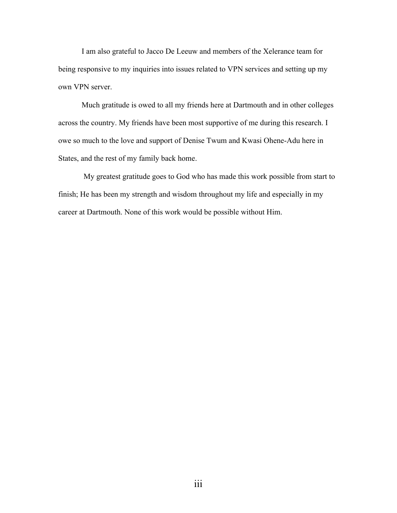I am also grateful to Jacco De Leeuw and members of the Xelerance team for being responsive to my inquiries into issues related to VPN services and setting up my own VPN server.

Much gratitude is owed to all my friends here at Dartmouth and in other colleges across the country. My friends have been most supportive of me during this research. I owe so much to the love and support of Denise Twum and Kwasi Ohene-Adu here in States, and the rest of my family back home.

 My greatest gratitude goes to God who has made this work possible from start to finish; He has been my strength and wisdom throughout my life and especially in my career at Dartmouth. None of this work would be possible without Him.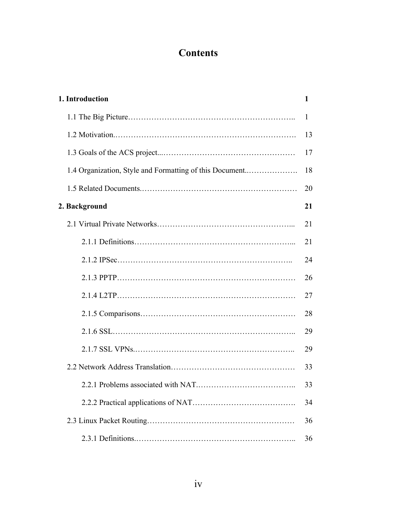# **Contents**

| 1. Introduction                                         | 1  |
|---------------------------------------------------------|----|
|                                                         | 1  |
|                                                         | 13 |
|                                                         | 17 |
| 1.4 Organization, Style and Formatting of this Document | 18 |
|                                                         | 20 |
| 2. Background                                           | 21 |
|                                                         | 21 |
|                                                         | 21 |
|                                                         | 24 |
|                                                         | 26 |
|                                                         | 27 |
|                                                         | 28 |
|                                                         | 29 |
|                                                         | 29 |
|                                                         | 33 |
|                                                         | 33 |
|                                                         | 34 |
|                                                         | 36 |
|                                                         | 36 |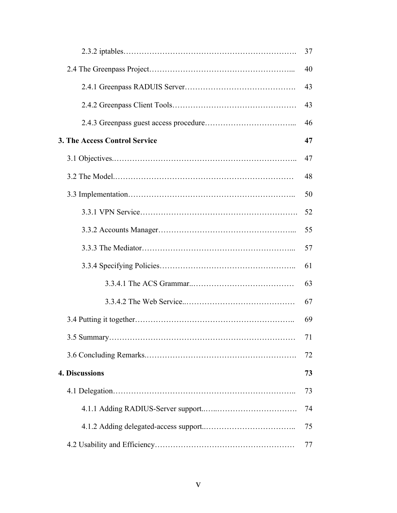|                                      | 37 |
|--------------------------------------|----|
|                                      | 40 |
|                                      | 43 |
|                                      | 43 |
|                                      | 46 |
| <b>3. The Access Control Service</b> | 47 |
|                                      | 47 |
|                                      | 48 |
|                                      | 50 |
|                                      | 52 |
|                                      | 55 |
|                                      | 57 |
|                                      | 61 |
|                                      | 63 |
|                                      | 67 |
|                                      | 69 |
|                                      | 71 |
|                                      | 72 |
| 4. Discussions                       | 73 |
|                                      | 73 |
|                                      | 74 |
|                                      | 75 |
|                                      | 77 |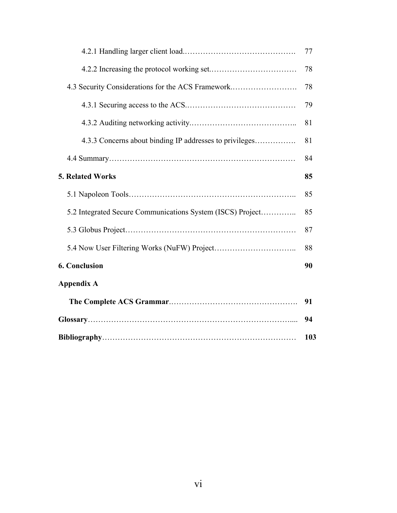|                                                            | 77  |
|------------------------------------------------------------|-----|
|                                                            | 78  |
| 4.3 Security Considerations for the ACS Framework          | 78  |
|                                                            | 79  |
|                                                            | 81  |
| 4.3.3 Concerns about binding IP addresses to privileges    | 81  |
|                                                            | 84  |
| <b>5. Related Works</b>                                    | 85  |
|                                                            | 85  |
| 5.2 Integrated Secure Communications System (ISCS) Project | 85  |
|                                                            | 87  |
|                                                            | 88  |
| <b>6. Conclusion</b>                                       | 90  |
| <b>Appendix A</b>                                          |     |
|                                                            | 91  |
|                                                            | 94  |
|                                                            | 103 |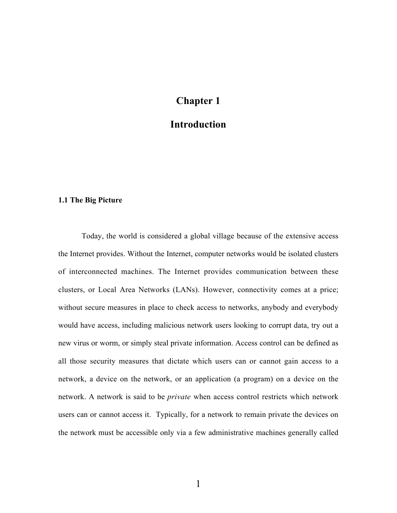# Chapter 1

### Introduction

### 1.1 The Big Picture

Today, the world is considered a global village because of the extensive access the Internet provides. Without the Internet, computer networks would be isolated clusters of interconnected machines. The Internet provides communication between these clusters, or Local Area Networks (LANs). However, connectivity comes at a price; without secure measures in place to check access to networks, anybody and everybody would have access, including malicious network users looking to corrupt data, try out a new virus or worm, or simply steal private information. Access control can be defined as all those security measures that dictate which users can or cannot gain access to a network, a device on the network, or an application (a program) on a device on the network. A network is said to be *private* when access control restricts which network users can or cannot access it. Typically, for a network to remain private the devices on the network must be accessible only via a few administrative machines generally called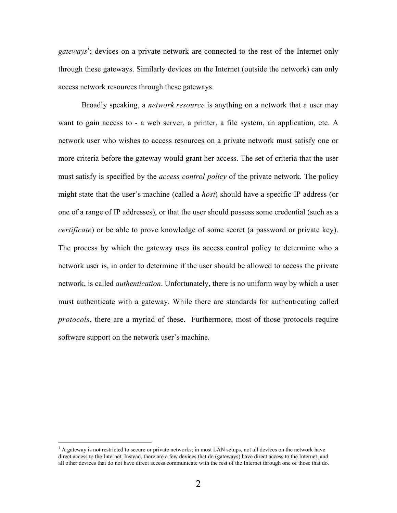gateways<sup>1</sup>; devices on a private network are connected to the rest of the Internet only through these gateways. Similarly devices on the Internet (outside the network) can only access network resources through these gateways.

Broadly speaking, a *network resource* is anything on a network that a user may want to gain access to - a web server, a printer, a file system, an application, etc. A network user who wishes to access resources on a private network must satisfy one or more criteria before the gateway would grant her access. The set of criteria that the user must satisfy is specified by the *access control policy* of the private network. The policy might state that the user's machine (called a *host*) should have a specific IP address (or one of a range of IP addresses), or that the user should possess some credential (such as a *certificate*) or be able to prove knowledge of some secret (a password or private key). The process by which the gateway uses its access control policy to determine who a network user is, in order to determine if the user should be allowed to access the private network, is called *authentication*. Unfortunately, there is no uniform way by which a user must authenticate with a gateway. While there are standards for authenticating called *protocols*, there are a myriad of these. Furthermore, most of those protocols require software support on the network user's machine.

 $\frac{1}{1}$  $^{1}$  A gateway is not restricted to secure or private networks; in most LAN setups, not all devices on the network have direct access to the Internet. Instead, there are a few devices that do (gateways) have direct access to the Internet, and all other devices that do not have direct access communicate with the rest of the Internet through one of those that do.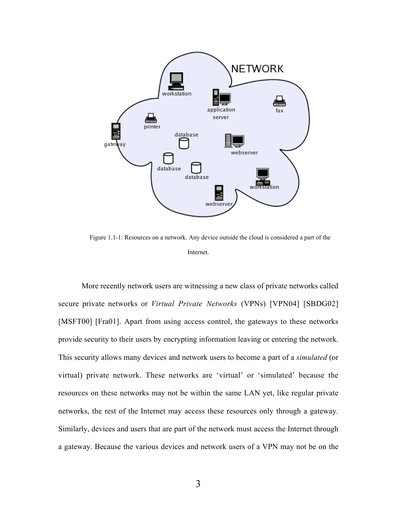

Figure 1.1-1: Resources on a network. Any device outside the cloud is considered a part of the Internet.

More recently network users are witnessing a new class of private networks called secure private networks or *Virtual Private Networks* (VPNs) [VPN04] [SBDG02] [MSFT00] [Fra01]. Apart from using access control, the gateways to these networks provide security to their users by encrypting information leaving or entering the network. This security allows many devices and network users to become a part of a *simulated* (or virtual) private network. These networks are 'virtual' or 'simulated' because the resources on these networks may not be within the same LAN yet, like regular private networks, the rest of the Internet may access these resources only through a gateway. Similarly, devices and users that are part of the network must access the Internet through a gateway. Because the various devices and network users of a VPN may not be on the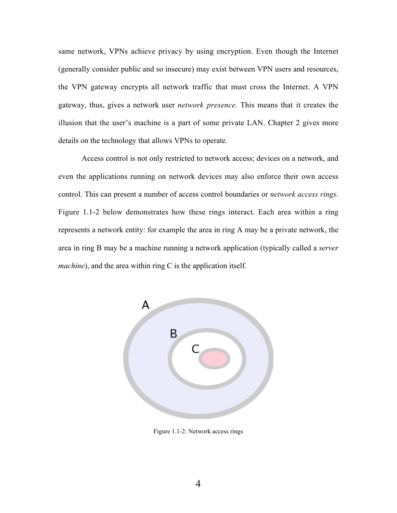same network, VPNs achieve privacy by using encryption. Even though the Internet (generally consider public and so insecure) may exist between VPN users and resources, the VPN gateway encrypts all network traffic that must cross the Internet. A VPN gateway, thus, gives a network user *network presence*. This means that it creates the illusion that the user's machine is a part of some private LAN. Chapter 2 gives more details on the technology that allows VPNs to operate.

Access control is not only restricted to network access; devices on a network, and even the applications running on network devices may also enforce their own access control. This can present a number of access control boundaries or *network access rings*. Figure 1.1-2 below demonstrates how these rings interact. Each area within a ring represents a network entity: for example the area in ring A may be a private network, the area in ring B may be a machine running a network application (typically called a *server machine*), and the area within ring C is the application itself.



Figure 1.1-2: Network access rings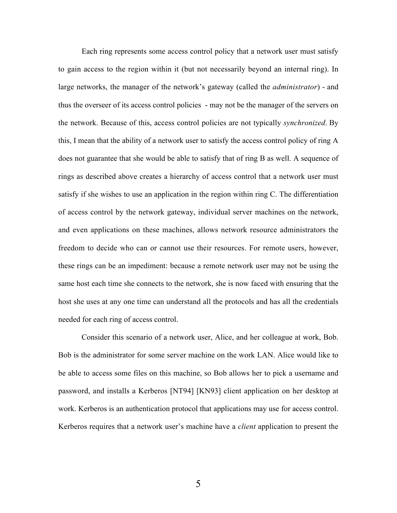Each ring represents some access control policy that a network user must satisfy to gain access to the region within it (but not necessarily beyond an internal ring). In large networks, the manager of the network's gateway (called the *administrator*) - and thus the overseer of its access control policies - may not be the manager of the servers on the network. Because of this, access control policies are not typically *synchronized*. By this, I mean that the ability of a network user to satisfy the access control policy of ring A does not guarantee that she would be able to satisfy that of ring B as well. A sequence of rings as described above creates a hierarchy of access control that a network user must satisfy if she wishes to use an application in the region within ring C. The differentiation of access control by the network gateway, individual server machines on the network, and even applications on these machines, allows network resource administrators the freedom to decide who can or cannot use their resources. For remote users, however, these rings can be an impediment: because a remote network user may not be using the same host each time she connects to the network, she is now faced with ensuring that the host she uses at any one time can understand all the protocols and has all the credentials needed for each ring of access control.

Consider this scenario of a network user, Alice, and her colleague at work, Bob. Bob is the administrator for some server machine on the work LAN. Alice would like to be able to access some files on this machine, so Bob allows her to pick a username and password, and installs a Kerberos [NT94] [KN93] client application on her desktop at work. Kerberos is an authentication protocol that applications may use for access control. Kerberos requires that a network user's machine have a *client* application to present the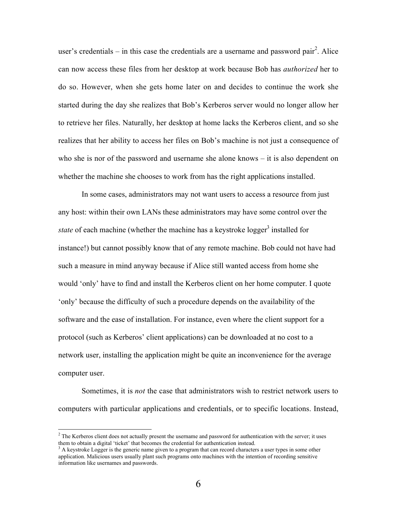user's credentials  $-$  in this case the credentials are a username and password pair<sup>2</sup>. Alice can now access these files from her desktop at work because Bob has *authorized* her to do so. However, when she gets home later on and decides to continue the work she started during the day she realizes that Bob's Kerberos server would no longer allow her to retrieve her files. Naturally, her desktop at home lacks the Kerberos client, and so she realizes that her ability to access her files on Bob's machine is not just a consequence of who she is nor of the password and username she alone knows – it is also dependent on whether the machine she chooses to work from has the right applications installed.

In some cases, administrators may not want users to access a resource from just any host: within their own LANs these administrators may have some control over the state of each machine (whether the machine has a keystroke logger<sup>3</sup> installed for instance!) but cannot possibly know that of any remote machine. Bob could not have had such a measure in mind anyway because if Alice still wanted access from home she would 'only' have to find and install the Kerberos client on her home computer. I quote 'only' because the difficulty of such a procedure depends on the availability of the software and the ease of installation. For instance, even where the client support for a protocol (such as Kerberos' client applications) can be downloaded at no cost to a network user, installing the application might be quite an inconvenience for the average computer user.

Sometimes, it is *not* the case that administrators wish to restrict network users to computers with particular applications and credentials, or to specific locations. Instead,

 $\frac{1}{2}$  $2$  The Kerberos client does not actually present the username and password for authentication with the server; it uses them to obtain a digital 'ticket' that becomes the credential for authentication instead.

<sup>&</sup>lt;sup>3</sup> A keystroke Logger is the generic name given to a program that can record characters a user types in some other application. Malicious users usually plant such programs onto machines with the intention of recording sensitive information like usernames and passwords.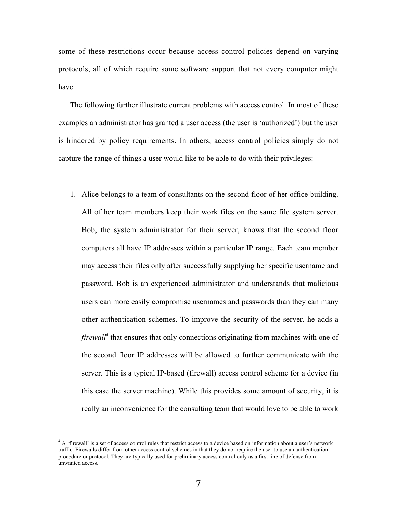some of these restrictions occur because access control policies depend on varying protocols, all of which require some software support that not every computer might have.

The following further illustrate current problems with access control. In most of these examples an administrator has granted a user access (the user is 'authorized') but the user is hindered by policy requirements. In others, access control policies simply do not capture the range of things a user would like to be able to do with their privileges:

1. Alice belongs to a team of consultants on the second floor of her office building. All of her team members keep their work files on the same file system server. Bob, the system administrator for their server, knows that the second floor computers all have IP addresses within a particular IP range. Each team member may access their files only after successfully supplying her specific username and password. Bob is an experienced administrator and understands that malicious users can more easily compromise usernames and passwords than they can many other authentication schemes. To improve the security of the server, he adds a *firewall*<sup>4</sup> that ensures that only connections originating from machines with one of the second floor IP addresses will be allowed to further communicate with the server. This is a typical IP-based (firewall) access control scheme for a device (in this case the server machine). While this provides some amount of security, it is really an inconvenience for the consulting team that would love to be able to work

 $\frac{1}{4}$ <sup>4</sup> A 'firewall' is a set of access control rules that restrict access to a device based on information about a user's network traffic. Firewalls differ from other access control schemes in that they do not require the user to use an authentication procedure or protocol. They are typically used for preliminary access control only as a first line of defense from unwanted access.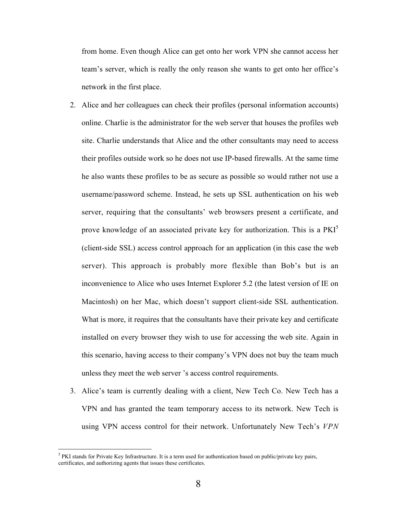from home. Even though Alice can get onto her work VPN she cannot access her team's server, which is really the only reason she wants to get onto her office's network in the first place.

- 2. Alice and her colleagues can check their profiles (personal information accounts) online. Charlie is the administrator for the web server that houses the profiles web site. Charlie understands that Alice and the other consultants may need to access their profiles outside work so he does not use IP-based firewalls. At the same time he also wants these profiles to be as secure as possible so would rather not use a username/password scheme. Instead, he sets up SSL authentication on his web server, requiring that the consultants' web browsers present a certificate, and prove knowledge of an associated private key for authorization. This is a PKI<sup>5</sup> (client-side SSL) access control approach for an application (in this case the web server). This approach is probably more flexible than Bob's but is an inconvenience to Alice who uses Internet Explorer 5.2 (the latest version of IE on Macintosh) on her Mac, which doesn't support client-side SSL authentication. What is more, it requires that the consultants have their private key and certificate installed on every browser they wish to use for accessing the web site. Again in this scenario, having access to their company's VPN does not buy the team much unless they meet the web server 's access control requirements.
- 3. Alice's team is currently dealing with a client, New Tech Co. New Tech has a VPN and has granted the team temporary access to its network. New Tech is using VPN access control for their network. Unfortunately New Tech's *VPN*

 <sup>5</sup>  $<sup>5</sup>$  PKI stands for Private Key Infrastructure. It is a term used for authentication based on public/private key pairs,</sup> certificates, and authorizing agents that issues these certificates.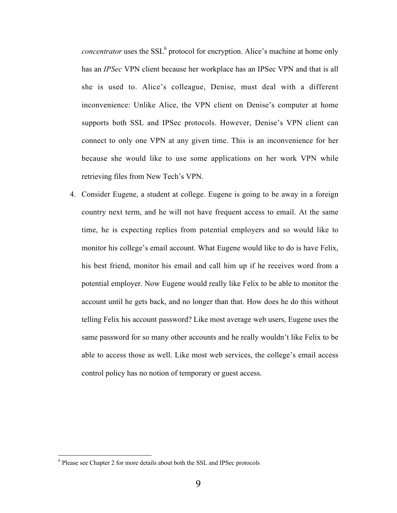*concentrator* uses the SSL<sup>6</sup> protocol for encryption. Alice's machine at home only has an *IPSec* VPN client because her workplace has an IPSec VPN and that is all she is used to. Alice's colleague, Denise, must deal with a different inconvenience: Unlike Alice, the VPN client on Denise's computer at home supports both SSL and IPSec protocols. However, Denise's VPN client can connect to only one VPN at any given time. This is an inconvenience for her because she would like to use some applications on her work VPN while retrieving files from New Tech's VPN.

4. Consider Eugene, a student at college. Eugene is going to be away in a foreign country next term, and he will not have frequent access to email. At the same time, he is expecting replies from potential employers and so would like to monitor his college's email account. What Eugene would like to do is have Felix, his best friend, monitor his email and call him up if he receives word from a potential employer. Now Eugene would really like Felix to be able to monitor the account until he gets back, and no longer than that. How does he do this without telling Felix his account password? Like most average web users, Eugene uses the same password for so many other accounts and he really wouldn't like Felix to be able to access those as well. Like most web services, the college's email access control policy has no notion of temporary or guest access.

 <sup>6</sup>  $6$  Please see Chapter 2 for more details about both the SSL and IPSec protocols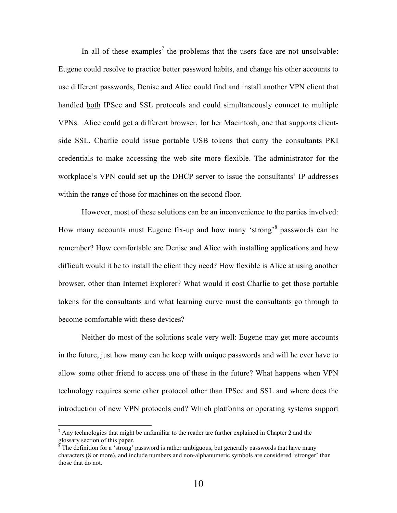In all of these examples<sup>7</sup> the problems that the users face are not unsolvable: Eugene could resolve to practice better password habits, and change his other accounts to use different passwords, Denise and Alice could find and install another VPN client that handled both IPSec and SSL protocols and could simultaneously connect to multiple VPNs. Alice could get a different browser, for her Macintosh, one that supports clientside SSL. Charlie could issue portable USB tokens that carry the consultants PKI credentials to make accessing the web site more flexible. The administrator for the workplace's VPN could set up the DHCP server to issue the consultants' IP addresses within the range of those for machines on the second floor.

However, most of these solutions can be an inconvenience to the parties involved: How many accounts must Eugene fix-up and how many 'strong'<sup>8</sup> passwords can he remember? How comfortable are Denise and Alice with installing applications and how difficult would it be to install the client they need? How flexible is Alice at using another browser, other than Internet Explorer? What would it cost Charlie to get those portable tokens for the consultants and what learning curve must the consultants go through to become comfortable with these devices?

Neither do most of the solutions scale very well: Eugene may get more accounts in the future, just how many can he keep with unique passwords and will he ever have to allow some other friend to access one of these in the future? What happens when VPN technology requires some other protocol other than IPSec and SSL and where does the introduction of new VPN protocols end? Which platforms or operating systems support

 <sup>7</sup>  $<sup>7</sup>$  Any technologies that might be unfamiliar to the reader are further explained in Chapter 2 and the</sup> glossary section of this paper.

The definition for a 'strong' password is rather ambiguous, but generally passwords that have many characters (8 or more), and include numbers and non-alphanumeric symbols are considered 'stronger' than those that do not.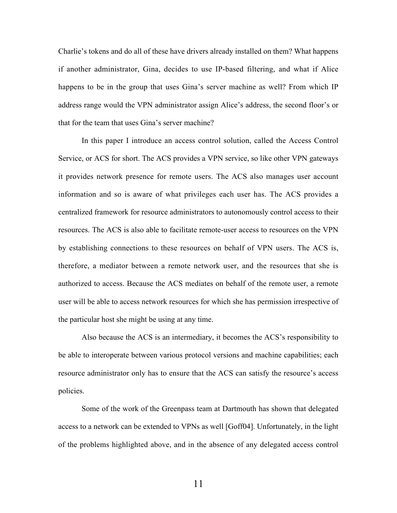Charlie's tokens and do all of these have drivers already installed on them? What happens if another administrator, Gina, decides to use IP-based filtering, and what if Alice happens to be in the group that uses Gina's server machine as well? From which IP address range would the VPN administrator assign Alice's address, the second floor's or that for the team that uses Gina's server machine?

In this paper I introduce an access control solution, called the Access Control Service, or ACS for short. The ACS provides a VPN service, so like other VPN gateways it provides network presence for remote users. The ACS also manages user account information and so is aware of what privileges each user has. The ACS provides a centralized framework for resource administrators to autonomously control access to their resources. The ACS is also able to facilitate remote-user access to resources on the VPN by establishing connections to these resources on behalf of VPN users. The ACS is, therefore, a mediator between a remote network user, and the resources that she is authorized to access. Because the ACS mediates on behalf of the remote user, a remote user will be able to access network resources for which she has permission irrespective of the particular host she might be using at any time.

Also because the ACS is an intermediary, it becomes the ACS's responsibility to be able to interoperate between various protocol versions and machine capabilities; each resource administrator only has to ensure that the ACS can satisfy the resource's access policies.

Some of the work of the Greenpass team at Dartmouth has shown that delegated access to a network can be extended to VPNs as well [Goff04]. Unfortunately, in the light of the problems highlighted above, and in the absence of any delegated access control

11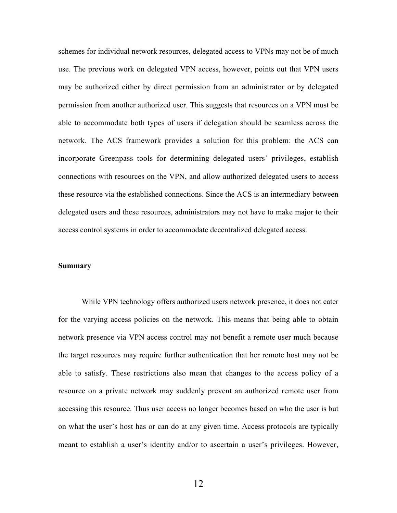schemes for individual network resources, delegated access to VPNs may not be of much use. The previous work on delegated VPN access, however, points out that VPN users may be authorized either by direct permission from an administrator or by delegated permission from another authorized user. This suggests that resources on a VPN must be able to accommodate both types of users if delegation should be seamless across the network. The ACS framework provides a solution for this problem: the ACS can incorporate Greenpass tools for determining delegated users' privileges, establish connections with resources on the VPN, and allow authorized delegated users to access these resource via the established connections. Since the ACS is an intermediary between delegated users and these resources, administrators may not have to make major to their access control systems in order to accommodate decentralized delegated access.

### Summary

While VPN technology offers authorized users network presence, it does not cater for the varying access policies on the network. This means that being able to obtain network presence via VPN access control may not benefit a remote user much because the target resources may require further authentication that her remote host may not be able to satisfy. These restrictions also mean that changes to the access policy of a resource on a private network may suddenly prevent an authorized remote user from accessing this resource. Thus user access no longer becomes based on who the user is but on what the user's host has or can do at any given time. Access protocols are typically meant to establish a user's identity and/or to ascertain a user's privileges. However,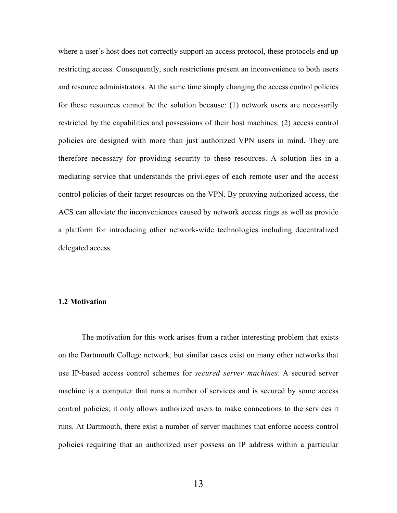where a user's host does not correctly support an access protocol, these protocols end up restricting access. Consequently, such restrictions present an inconvenience to both users and resource administrators. At the same time simply changing the access control policies for these resources cannot be the solution because: (1) network users are necessarily restricted by the capabilities and possessions of their host machines. (2) access control policies are designed with more than just authorized VPN users in mind. They are therefore necessary for providing security to these resources. A solution lies in a mediating service that understands the privileges of each remote user and the access control policies of their target resources on the VPN. By proxying authorized access, the ACS can alleviate the inconveniences caused by network access rings as well as provide a platform for introducing other network-wide technologies including decentralized delegated access.

### 1.2 Motivation

The motivation for this work arises from a rather interesting problem that exists on the Dartmouth College network, but similar cases exist on many other networks that use IP-based access control schemes for *secured server machines*. A secured server machine is a computer that runs a number of services and is secured by some access control policies; it only allows authorized users to make connections to the services it runs. At Dartmouth, there exist a number of server machines that enforce access control policies requiring that an authorized user possess an IP address within a particular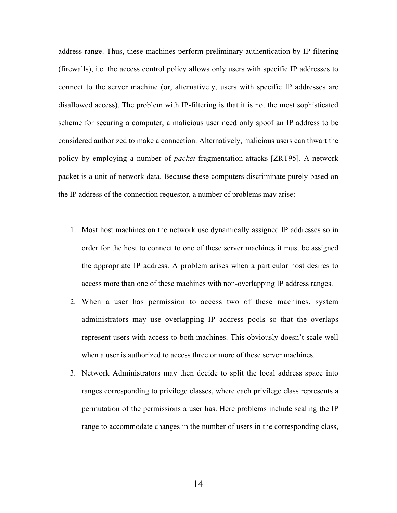address range. Thus, these machines perform preliminary authentication by IP-filtering (firewalls), i.e. the access control policy allows only users with specific IP addresses to connect to the server machine (or, alternatively, users with specific IP addresses are disallowed access). The problem with IP-filtering is that it is not the most sophisticated scheme for securing a computer; a malicious user need only spoof an IP address to be considered authorized to make a connection. Alternatively, malicious users can thwart the policy by employing a number of *packet* fragmentation attacks [ZRT95]. A network packet is a unit of network data. Because these computers discriminate purely based on the IP address of the connection requestor, a number of problems may arise:

- 1. Most host machines on the network use dynamically assigned IP addresses so in order for the host to connect to one of these server machines it must be assigned the appropriate IP address. A problem arises when a particular host desires to access more than one of these machines with non-overlapping IP address ranges.
- 2. When a user has permission to access two of these machines, system administrators may use overlapping IP address pools so that the overlaps represent users with access to both machines. This obviously doesn't scale well when a user is authorized to access three or more of these server machines.
- 3. Network Administrators may then decide to split the local address space into ranges corresponding to privilege classes, where each privilege class represents a permutation of the permissions a user has. Here problems include scaling the IP range to accommodate changes in the number of users in the corresponding class,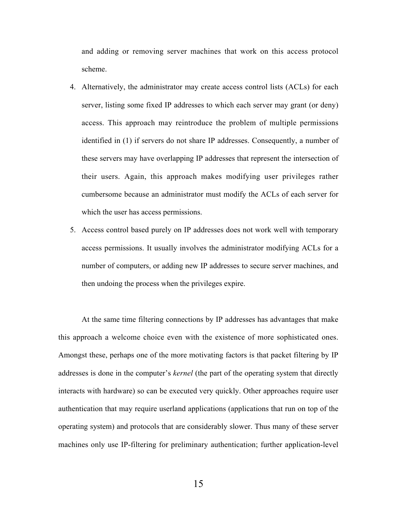and adding or removing server machines that work on this access protocol scheme.

- 4. Alternatively, the administrator may create access control lists (ACLs) for each server, listing some fixed IP addresses to which each server may grant (or deny) access. This approach may reintroduce the problem of multiple permissions identified in (1) if servers do not share IP addresses. Consequently, a number of these servers may have overlapping IP addresses that represent the intersection of their users. Again, this approach makes modifying user privileges rather cumbersome because an administrator must modify the ACLs of each server for which the user has access permissions.
- 5. Access control based purely on IP addresses does not work well with temporary access permissions. It usually involves the administrator modifying ACLs for a number of computers, or adding new IP addresses to secure server machines, and then undoing the process when the privileges expire.

At the same time filtering connections by IP addresses has advantages that make this approach a welcome choice even with the existence of more sophisticated ones. Amongst these, perhaps one of the more motivating factors is that packet filtering by IP addresses is done in the computer's *kernel* (the part of the operating system that directly interacts with hardware) so can be executed very quickly. Other approaches require user authentication that may require userland applications (applications that run on top of the operating system) and protocols that are considerably slower. Thus many of these server machines only use IP-filtering for preliminary authentication; further application-level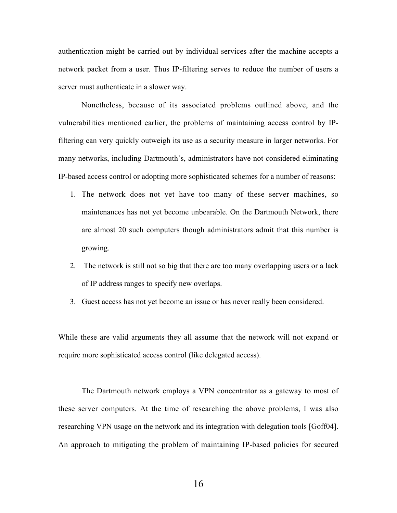authentication might be carried out by individual services after the machine accepts a network packet from a user. Thus IP-filtering serves to reduce the number of users a server must authenticate in a slower way.

Nonetheless, because of its associated problems outlined above, and the vulnerabilities mentioned earlier, the problems of maintaining access control by IPfiltering can very quickly outweigh its use as a security measure in larger networks. For many networks, including Dartmouth's, administrators have not considered eliminating IP-based access control or adopting more sophisticated schemes for a number of reasons:

- 1. The network does not yet have too many of these server machines, so maintenances has not yet become unbearable. On the Dartmouth Network, there are almost 20 such computers though administrators admit that this number is growing.
- 2. The network is still not so big that there are too many overlapping users or a lack of IP address ranges to specify new overlaps.
- 3. Guest access has not yet become an issue or has never really been considered.

While these are valid arguments they all assume that the network will not expand or require more sophisticated access control (like delegated access).

The Dartmouth network employs a VPN concentrator as a gateway to most of these server computers. At the time of researching the above problems, I was also researching VPN usage on the network and its integration with delegation tools [Goff04]. An approach to mitigating the problem of maintaining IP-based policies for secured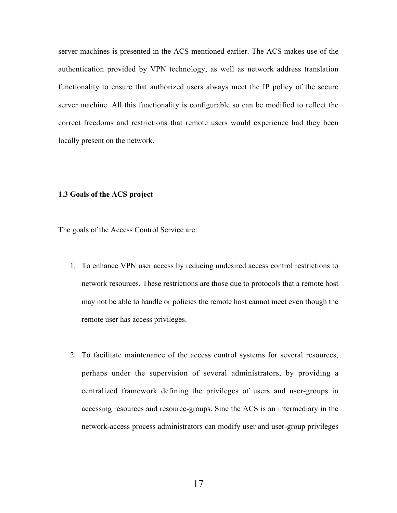server machines is presented in the ACS mentioned earlier. The ACS makes use of the authentication provided by VPN technology, as well as network address translation functionality to ensure that authorized users always meet the IP policy of the secure server machine. All this functionality is configurable so can be modified to reflect the correct freedoms and restrictions that remote users would experience had they been locally present on the network.

### 1.3 Goals of the ACS project

The goals of the Access Control Service are:

- 1. To enhance VPN user access by reducing undesired access control restrictions to network resources. These restrictions are those due to protocols that a remote host may not be able to handle or policies the remote host cannot meet even though the remote user has access privileges.
- 2. To facilitate maintenance of the access control systems for several resources, perhaps under the supervision of several administrators, by providing a centralized framework defining the privileges of users and user-groups in accessing resources and resource-groups. Sine the ACS is an intermediary in the network-access process administrators can modify user and user-group privileges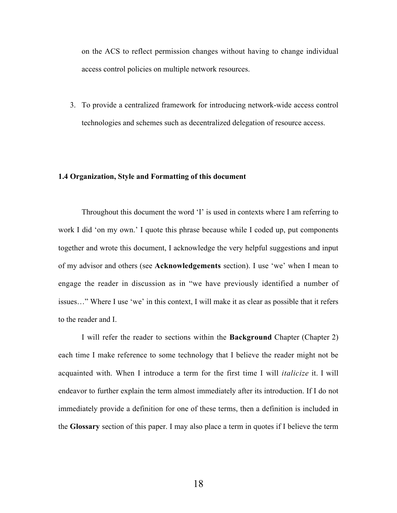on the ACS to reflect permission changes without having to change individual access control policies on multiple network resources.

3. To provide a centralized framework for introducing network-wide access control technologies and schemes such as decentralized delegation of resource access.

### 1.4 Organization, Style and Formatting of this document

Throughout this document the word 'I' is used in contexts where I am referring to work I did 'on my own.' I quote this phrase because while I coded up, put components together and wrote this document, I acknowledge the very helpful suggestions and input of my advisor and others (see Acknowledgements section). I use 'we' when I mean to engage the reader in discussion as in "we have previously identified a number of issues…" Where I use 'we' in this context, I will make it as clear as possible that it refers to the reader and I.

I will refer the reader to sections within the Background Chapter (Chapter 2) each time I make reference to some technology that I believe the reader might not be acquainted with. When I introduce a term for the first time I will *italicize* it. I will endeavor to further explain the term almost immediately after its introduction. If I do not immediately provide a definition for one of these terms, then a definition is included in the Glossary section of this paper. I may also place a term in quotes if I believe the term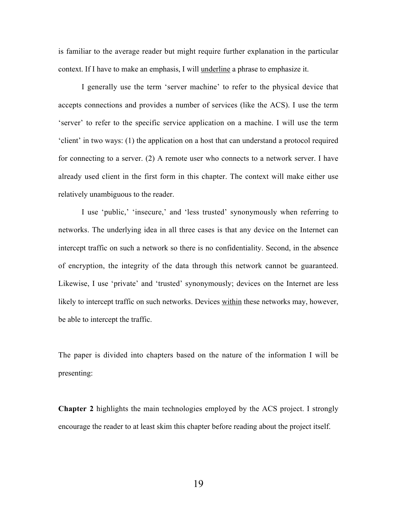is familiar to the average reader but might require further explanation in the particular context. If I have to make an emphasis, I will underline a phrase to emphasize it.

I generally use the term 'server machine' to refer to the physical device that accepts connections and provides a number of services (like the ACS). I use the term 'server' to refer to the specific service application on a machine. I will use the term 'client' in two ways: (1) the application on a host that can understand a protocol required for connecting to a server. (2) A remote user who connects to a network server. I have already used client in the first form in this chapter. The context will make either use relatively unambiguous to the reader.

I use 'public,' 'insecure,' and 'less trusted' synonymously when referring to networks. The underlying idea in all three cases is that any device on the Internet can intercept traffic on such a network so there is no confidentiality. Second, in the absence of encryption, the integrity of the data through this network cannot be guaranteed. Likewise, I use 'private' and 'trusted' synonymously; devices on the Internet are less likely to intercept traffic on such networks. Devices within these networks may, however, be able to intercept the traffic.

The paper is divided into chapters based on the nature of the information I will be presenting:

Chapter 2 highlights the main technologies employed by the ACS project. I strongly encourage the reader to at least skim this chapter before reading about the project itself.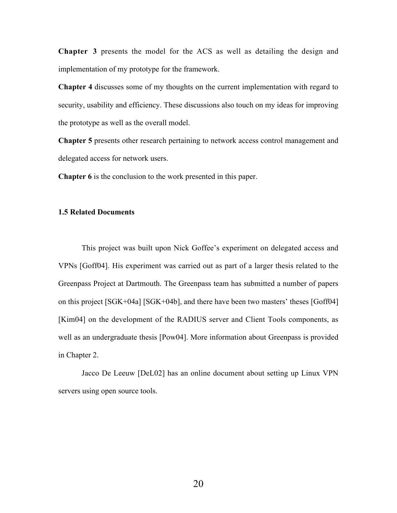Chapter 3 presents the model for the ACS as well as detailing the design and implementation of my prototype for the framework.

Chapter 4 discusses some of my thoughts on the current implementation with regard to security, usability and efficiency. These discussions also touch on my ideas for improving the prototype as well as the overall model.

Chapter 5 presents other research pertaining to network access control management and delegated access for network users.

Chapter 6 is the conclusion to the work presented in this paper.

### 1.5 Related Documents

This project was built upon Nick Goffee's experiment on delegated access and VPNs [Goff04]. His experiment was carried out as part of a larger thesis related to the Greenpass Project at Dartmouth. The Greenpass team has submitted a number of papers on this project [SGK+04a] [SGK+04b], and there have been two masters' theses [Goff04] [Kim04] on the development of the RADIUS server and Client Tools components, as well as an undergraduate thesis [Pow04]. More information about Greenpass is provided in Chapter 2.

Jacco De Leeuw [DeL02] has an online document about setting up Linux VPN servers using open source tools.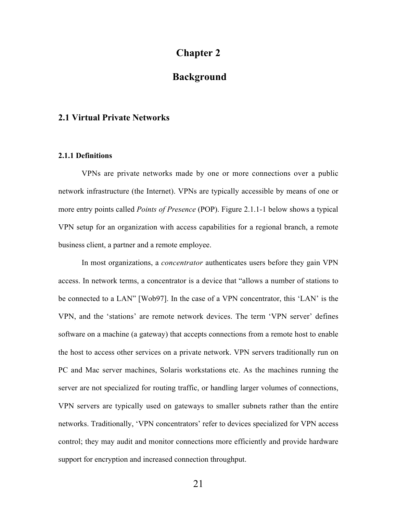## Chapter 2

# Background

### 2.1 Virtual Private Networks

### 2.1.1 Definitions

VPNs are private networks made by one or more connections over a public network infrastructure (the Internet). VPNs are typically accessible by means of one or more entry points called *Points of Presence* (POP). Figure 2.1.1-1 below shows a typical VPN setup for an organization with access capabilities for a regional branch, a remote business client, a partner and a remote employee.

In most organizations, a *concentrator* authenticates users before they gain VPN access. In network terms, a concentrator is a device that "allows a number of stations to be connected to a LAN" [Wob97]. In the case of a VPN concentrator, this 'LAN' is the VPN, and the 'stations' are remote network devices. The term 'VPN server' defines software on a machine (a gateway) that accepts connections from a remote host to enable the host to access other services on a private network. VPN servers traditionally run on PC and Mac server machines, Solaris workstations etc. As the machines running the server are not specialized for routing traffic, or handling larger volumes of connections, VPN servers are typically used on gateways to smaller subnets rather than the entire networks. Traditionally, 'VPN concentrators' refer to devices specialized for VPN access control; they may audit and monitor connections more efficiently and provide hardware support for encryption and increased connection throughput.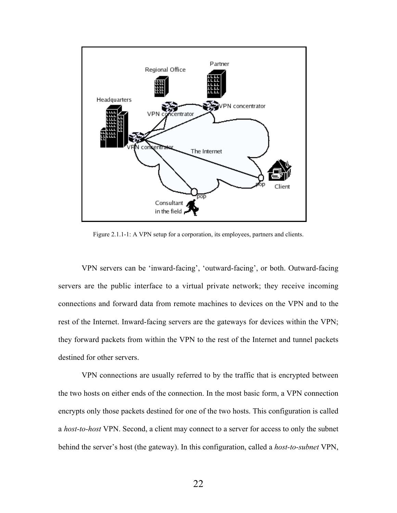

Figure 2.1.1-1: A VPN setup for a corporation, its employees, partners and clients.

VPN servers can be 'inward-facing', 'outward-facing', or both. Outward-facing servers are the public interface to a virtual private network; they receive incoming connections and forward data from remote machines to devices on the VPN and to the rest of the Internet. Inward-facing servers are the gateways for devices within the VPN; they forward packets from within the VPN to the rest of the Internet and tunnel packets destined for other servers.

VPN connections are usually referred to by the traffic that is encrypted between the two hosts on either ends of the connection. In the most basic form, a VPN connection encrypts only those packets destined for one of the two hosts. This configuration is called a *host-to-host* VPN. Second, a client may connect to a server for access to only the subnet behind the server's host (the gateway). In this configuration, called a *host-to-subnet* VPN,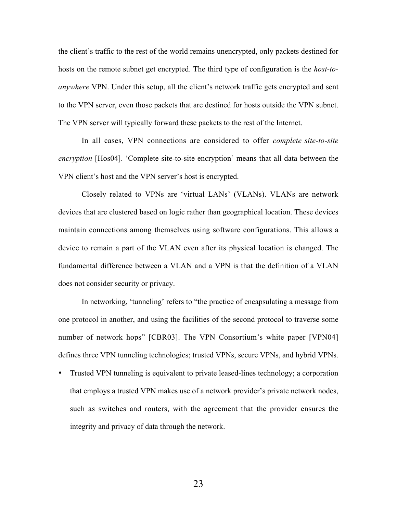the client's traffic to the rest of the world remains unencrypted, only packets destined for hosts on the remote subnet get encrypted. The third type of configuration is the *host-toanywhere* VPN. Under this setup, all the client's network traffic gets encrypted and sent to the VPN server, even those packets that are destined for hosts outside the VPN subnet. The VPN server will typically forward these packets to the rest of the Internet.

In all cases, VPN connections are considered to offer *complete site-to-site encryption* [Hos04]. 'Complete site-to-site encryption' means that all data between the VPN client's host and the VPN server's host is encrypted.

Closely related to VPNs are 'virtual LANs' (VLANs). VLANs are network devices that are clustered based on logic rather than geographical location. These devices maintain connections among themselves using software configurations. This allows a device to remain a part of the VLAN even after its physical location is changed. The fundamental difference between a VLAN and a VPN is that the definition of a VLAN does not consider security or privacy.

In networking, 'tunneling' refers to "the practice of encapsulating a message from one protocol in another, and using the facilities of the second protocol to traverse some number of network hops" [CBR03]. The VPN Consortium's white paper [VPN04] defines three VPN tunneling technologies; trusted VPNs, secure VPNs, and hybrid VPNs.

• Trusted VPN tunneling is equivalent to private leased-lines technology; a corporation that employs a trusted VPN makes use of a network provider's private network nodes, such as switches and routers, with the agreement that the provider ensures the integrity and privacy of data through the network.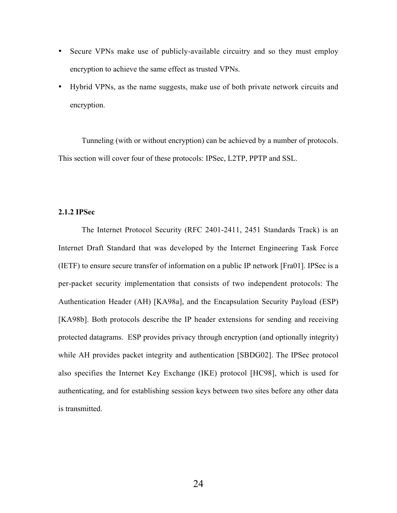- Secure VPNs make use of publicly-available circuitry and so they must employ encryption to achieve the same effect as trusted VPNs.
- Hybrid VPNs, as the name suggests, make use of both private network circuits and encryption.

Tunneling (with or without encryption) can be achieved by a number of protocols. This section will cover four of these protocols: IPSec, L2TP, PPTP and SSL.

### 2.1.2 IPSec

The Internet Protocol Security (RFC 2401-2411, 2451 Standards Track) is an Internet Draft Standard that was developed by the Internet Engineering Task Force (IETF) to ensure secure transfer of information on a public IP network [Fra01]. IPSec is a per-packet security implementation that consists of two independent protocols: The Authentication Header (AH) [KA98a], and the Encapsulation Security Payload (ESP) [KA98b]. Both protocols describe the IP header extensions for sending and receiving protected datagrams. ESP provides privacy through encryption (and optionally integrity) while AH provides packet integrity and authentication [SBDG02]. The IPSec protocol also specifies the Internet Key Exchange (IKE) protocol [HC98], which is used for authenticating, and for establishing session keys between two sites before any other data is transmitted.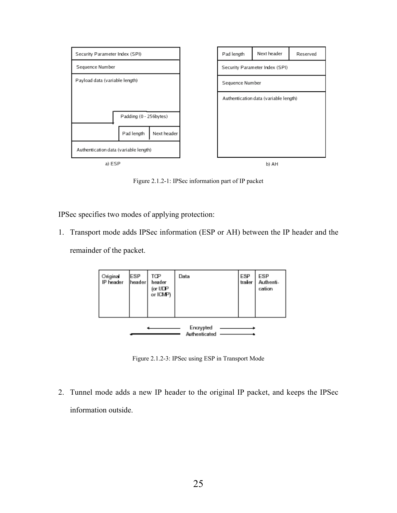

Figure 2.1.2-1: IPSec information part of IP packet

IPSec specifies two modes of applying protection:

1. Transport mode adds IPSec information (ESP or AH) between the IP header and the

remainder of the packet.



Figure 2.1.2-3: IPSec using ESP in Transport Mode

2. Tunnel mode adds a new IP header to the original IP packet, and keeps the IPSec information outside.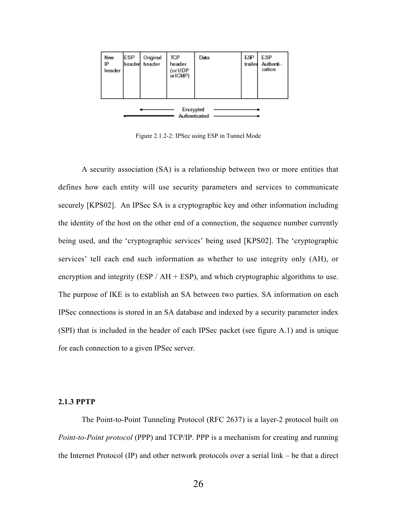

Figure 2.1.2-2: IPSec using ESP in Tunnel Mode

A security association (SA) is a relationship between two or more entities that defines how each entity will use security parameters and services to communicate securely [KPS02]. An IPSec SA is a cryptographic key and other information including the identity of the host on the other end of a connection, the sequence number currently being used, and the 'cryptographic services' being used [KPS02]. The 'cryptographic services' tell each end such information as whether to use integrity only (AH), or encryption and integrity (ESP /  $AH + ESP$ ), and which cryptographic algorithms to use. The purpose of IKE is to establish an SA between two parties. SA information on each IPSec connections is stored in an SA database and indexed by a security parameter index (SPI) that is included in the header of each IPSec packet (see figure A.1) and is unique for each connection to a given IPSec server.

#### 2.1.3 PPTP

The Point-to-Point Tunneling Protocol (RFC 2637) is a layer-2 protocol built on *Point-to-Point protocol* (PPP) and TCP/IP. PPP is a mechanism for creating and running the Internet Protocol (IP) and other network protocols over a serial link – be that a direct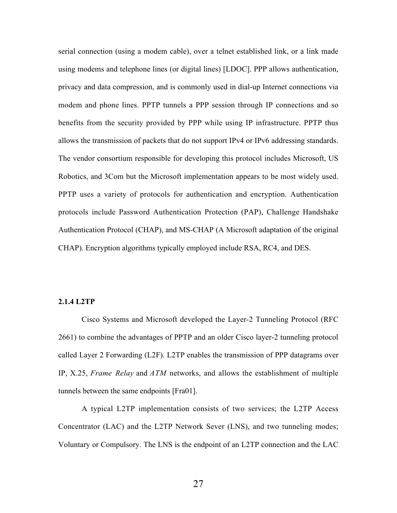serial connection (using a modem cable), over a telnet established link, or a link made using modems and telephone lines (or digital lines) [LDOC]. PPP allows authentication, privacy and data compression, and is commonly used in dial-up Internet connections via modem and phone lines. PPTP tunnels a PPP session through IP connections and so benefits from the security provided by PPP while using IP infrastructure. PPTP thus allows the transmission of packets that do not support IPv4 or IPv6 addressing standards. The vendor consortium responsible for developing this protocol includes Microsoft, US Robotics, and 3Com but the Microsoft implementation appears to be most widely used. PPTP uses a variety of protocols for authentication and encryption. Authentication protocols include Password Authentication Protection (PAP), Challenge Handshake Authentication Protocol (CHAP), and MS-CHAP (A Microsoft adaptation of the original CHAP). Encryption algorithms typically employed include RSA, RC4, and DES.

### 2.1.4 L2TP

Cisco Systems and Microsoft developed the Layer-2 Tunneling Protocol (RFC 2661) to combine the advantages of PPTP and an older Cisco layer-2 tunneling protocol called Layer 2 Forwarding (L2F). L2TP enables the transmission of PPP datagrams over IP, X.25, *Frame Relay* and *ATM* networks, and allows the establishment of multiple tunnels between the same endpoints [Fra01].

A typical L2TP implementation consists of two services; the L2TP Access Concentrator (LAC) and the L2TP Network Sever (LNS), and two tunneling modes; Voluntary or Compulsory. The LNS is the endpoint of an L2TP connection and the LAC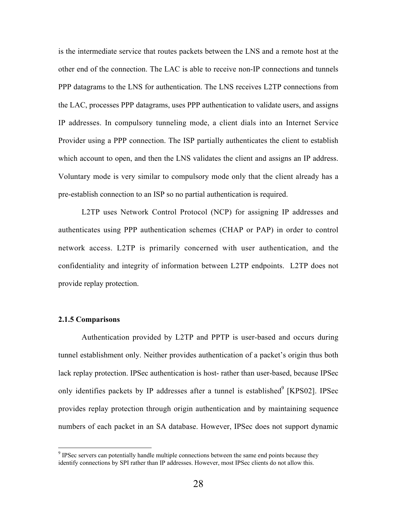is the intermediate service that routes packets between the LNS and a remote host at the other end of the connection. The LAC is able to receive non-IP connections and tunnels PPP datagrams to the LNS for authentication. The LNS receives L2TP connections from the LAC, processes PPP datagrams, uses PPP authentication to validate users, and assigns IP addresses. In compulsory tunneling mode, a client dials into an Internet Service Provider using a PPP connection. The ISP partially authenticates the client to establish which account to open, and then the LNS validates the client and assigns an IP address. Voluntary mode is very similar to compulsory mode only that the client already has a pre-establish connection to an ISP so no partial authentication is required.

L2TP uses Network Control Protocol (NCP) for assigning IP addresses and authenticates using PPP authentication schemes (CHAP or PAP) in order to control network access. L2TP is primarily concerned with user authentication, and the confidentiality and integrity of information between L2TP endpoints. L2TP does not provide replay protection.

### 2.1.5 Comparisons

Authentication provided by L2TP and PPTP is user-based and occurs during tunnel establishment only. Neither provides authentication of a packet's origin thus both lack replay protection. IPSec authentication is host- rather than user-based, because IPSec only identifies packets by IP addresses after a tunnel is established $\degree$  [KPS02]. IPSec provides replay protection through origin authentication and by maintaining sequence numbers of each packet in an SA database. However, IPSec does not support dynamic

<sup>-&</sup>lt;br>9  $\degree$  IPSec servers can potentially handle multiple connections between the same end points because they identify connections by SPI rather than IP addresses. However, most IPSec clients do not allow this.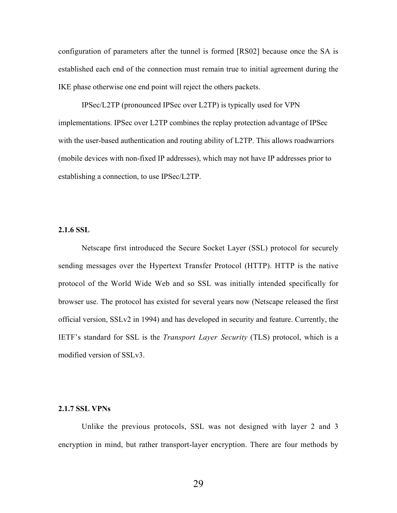configuration of parameters after the tunnel is formed [RS02] because once the SA is established each end of the connection must remain true to initial agreement during the IKE phase otherwise one end point will reject the others packets.

IPSec/L2TP (pronounced IPSec over L2TP) is typically used for VPN implementations. IPSec over L2TP combines the replay protection advantage of IPSec with the user-based authentication and routing ability of L2TP. This allows roadwarriors (mobile devices with non-fixed IP addresses), which may not have IP addresses prior to establishing a connection, to use IPSec/L2TP.

### 2.1.6 SSL

Netscape first introduced the Secure Socket Layer (SSL) protocol for securely sending messages over the Hypertext Transfer Protocol (HTTP). HTTP is the native protocol of the World Wide Web and so SSL was initially intended specifically for browser use. The protocol has existed for several years now (Netscape released the first official version, SSLv2 in 1994) and has developed in security and feature. Currently, the IETF's standard for SSL is the *Transport Layer Security* (TLS) protocol, which is a modified version of SSLv3.

#### 2.1.7 SSL VPNs

Unlike the previous protocols, SSL was not designed with layer 2 and 3 encryption in mind, but rather transport-layer encryption. There are four methods by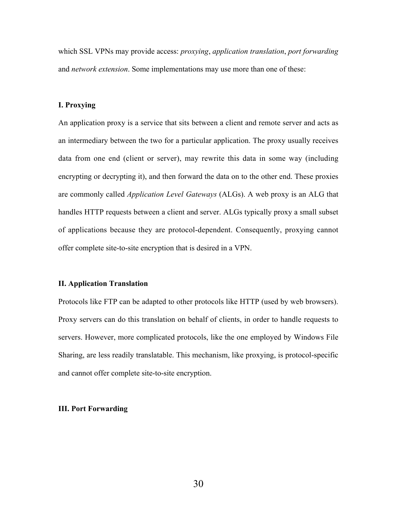which SSL VPNs may provide access: *proxying*, *application translation*, *port forwarding* and *network extension*. Some implementations may use more than one of these:

## I. Proxying

An application proxy is a service that sits between a client and remote server and acts as an intermediary between the two for a particular application. The proxy usually receives data from one end (client or server), may rewrite this data in some way (including encrypting or decrypting it), and then forward the data on to the other end. These proxies are commonly called *Application Level Gateways* (ALGs). A web proxy is an ALG that handles HTTP requests between a client and server. ALGs typically proxy a small subset of applications because they are protocol-dependent. Consequently, proxying cannot offer complete site-to-site encryption that is desired in a VPN.

#### II. Application Translation

Protocols like FTP can be adapted to other protocols like HTTP (used by web browsers). Proxy servers can do this translation on behalf of clients, in order to handle requests to servers. However, more complicated protocols, like the one employed by Windows File Sharing, are less readily translatable. This mechanism, like proxying, is protocol-specific and cannot offer complete site-to-site encryption.

#### III. Port Forwarding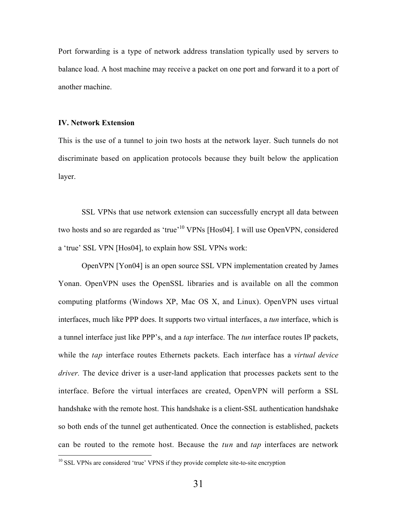Port forwarding is a type of network address translation typically used by servers to balance load. A host machine may receive a packet on one port and forward it to a port of another machine.

#### IV. Network Extension

This is the use of a tunnel to join two hosts at the network layer. Such tunnels do not discriminate based on application protocols because they built below the application layer.

SSL VPNs that use network extension can successfully encrypt all data between two hosts and so are regarded as 'true'<sup>10</sup> VPNs [Hos04]. I will use OpenVPN, considered a 'true' SSL VPN [Hos04], to explain how SSL VPNs work:

OpenVPN [Yon04] is an open source SSL VPN implementation created by James Yonan. OpenVPN uses the OpenSSL libraries and is available on all the common computing platforms (Windows XP, Mac OS X, and Linux). OpenVPN uses virtual interfaces, much like PPP does. It supports two virtual interfaces, a *tun* interface, which is a tunnel interface just like PPP's, and a *tap* interface. The *tun* interface routes IP packets, while the *tap* interface routes Ethernets packets. Each interface has a *virtual device driver.* The device driver is a user-land application that processes packets sent to the interface. Before the virtual interfaces are created, OpenVPN will perform a SSL handshake with the remote host. This handshake is a client-SSL authentication handshake so both ends of the tunnel get authenticated. Once the connection is established, packets can be routed to the remote host. Because the *tun* and *tap* interfaces are network

<sup>&</sup>lt;sup>10</sup> SSL VPNs are considered 'true' VPNS if they provide complete site-to-site encryption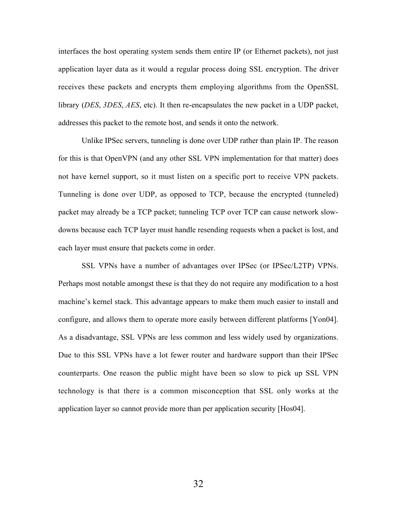interfaces the host operating system sends them entire IP (or Ethernet packets), not just application layer data as it would a regular process doing SSL encryption. The driver receives these packets and encrypts them employing algorithms from the OpenSSL library (*DES*, *3DES*, *AES*, etc). It then re-encapsulates the new packet in a UDP packet, addresses this packet to the remote host, and sends it onto the network.

Unlike IPSec servers, tunneling is done over UDP rather than plain IP. The reason for this is that OpenVPN (and any other SSL VPN implementation for that matter) does not have kernel support, so it must listen on a specific port to receive VPN packets. Tunneling is done over UDP, as opposed to TCP, because the encrypted (tunneled) packet may already be a TCP packet; tunneling TCP over TCP can cause network slowdowns because each TCP layer must handle resending requests when a packet is lost, and each layer must ensure that packets come in order.

SSL VPNs have a number of advantages over IPSec (or IPSec/L2TP) VPNs. Perhaps most notable amongst these is that they do not require any modification to a host machine's kernel stack. This advantage appears to make them much easier to install and configure, and allows them to operate more easily between different platforms [Yon04]. As a disadvantage, SSL VPNs are less common and less widely used by organizations. Due to this SSL VPNs have a lot fewer router and hardware support than their IPSec counterparts. One reason the public might have been so slow to pick up SSL VPN technology is that there is a common misconception that SSL only works at the application layer so cannot provide more than per application security [Hos04].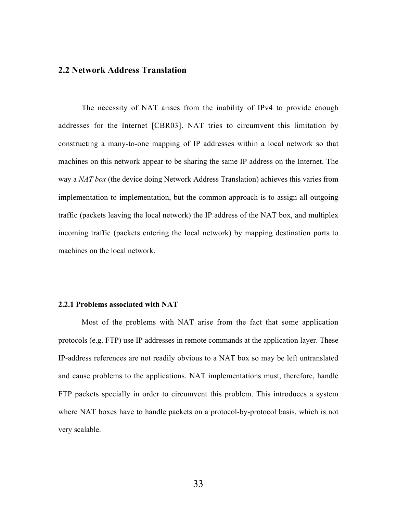# 2.2 Network Address Translation

The necessity of NAT arises from the inability of IPv4 to provide enough addresses for the Internet [CBR03]. NAT tries to circumvent this limitation by constructing a many-to-one mapping of IP addresses within a local network so that machines on this network appear to be sharing the same IP address on the Internet. The way a *NAT box* (the device doing Network Address Translation) achieves this varies from implementation to implementation, but the common approach is to assign all outgoing traffic (packets leaving the local network) the IP address of the NAT box, and multiplex incoming traffic (packets entering the local network) by mapping destination ports to machines on the local network.

#### 2.2.1 Problems associated with NAT

Most of the problems with NAT arise from the fact that some application protocols (e.g. FTP) use IP addresses in remote commands at the application layer. These IP-address references are not readily obvious to a NAT box so may be left untranslated and cause problems to the applications. NAT implementations must, therefore, handle FTP packets specially in order to circumvent this problem. This introduces a system where NAT boxes have to handle packets on a protocol-by-protocol basis, which is not very scalable.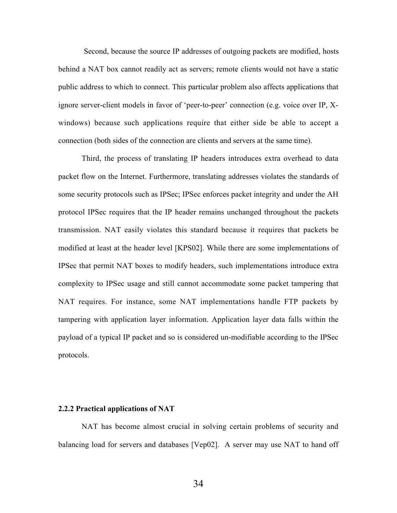Second, because the source IP addresses of outgoing packets are modified, hosts behind a NAT box cannot readily act as servers; remote clients would not have a static public address to which to connect. This particular problem also affects applications that ignore server-client models in favor of 'peer-to-peer' connection (e.g. voice over IP, Xwindows) because such applications require that either side be able to accept a connection (both sides of the connection are clients and servers at the same time).

Third, the process of translating IP headers introduces extra overhead to data packet flow on the Internet. Furthermore, translating addresses violates the standards of some security protocols such as IPSec; IPSec enforces packet integrity and under the AH protocol IPSec requires that the IP header remains unchanged throughout the packets transmission. NAT easily violates this standard because it requires that packets be modified at least at the header level [KPS02]. While there are some implementations of IPSec that permit NAT boxes to modify headers, such implementations introduce extra complexity to IPSec usage and still cannot accommodate some packet tampering that NAT requires. For instance, some NAT implementations handle FTP packets by tampering with application layer information. Application layer data falls within the payload of a typical IP packet and so is considered un-modifiable according to the IPSec protocols.

#### 2.2.2 Practical applications of NAT

NAT has become almost crucial in solving certain problems of security and balancing load for servers and databases [Vep02]. A server may use NAT to hand off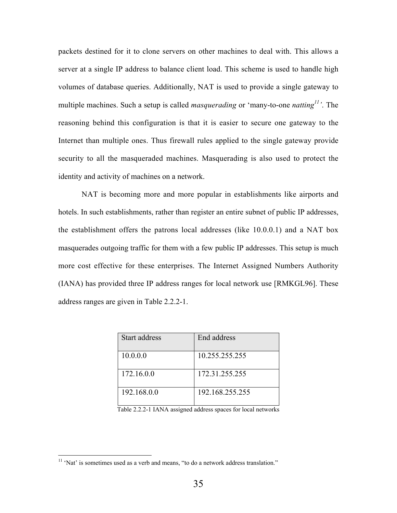packets destined for it to clone servers on other machines to deal with. This allows a server at a single IP address to balance client load. This scheme is used to handle high volumes of database queries. Additionally, NAT is used to provide a single gateway to multiple machines. Such a setup is called *masquerading* or 'many-to-one *natting<sup>11</sup> '*. The reasoning behind this configuration is that it is easier to secure one gateway to the Internet than multiple ones. Thus firewall rules applied to the single gateway provide security to all the masqueraded machines. Masquerading is also used to protect the identity and activity of machines on a network.

NAT is becoming more and more popular in establishments like airports and hotels. In such establishments, rather than register an entire subnet of public IP addresses, the establishment offers the patrons local addresses (like 10.0.0.1) and a NAT box masquerades outgoing traffic for them with a few public IP addresses. This setup is much more cost effective for these enterprises. The Internet Assigned Numbers Authority (IANA) has provided three IP address ranges for local network use [RMKGL96]. These address ranges are given in Table 2.2.2-1.

| Start address | End address     |
|---------------|-----------------|
| 10.0.0.0      | 10.255.255.255  |
| 172.16.0.0    | 172.31.255.255  |
| 192.168.0.0   | 192.168.255.255 |

Table 2.2.2-1 IANA assigned address spaces for local networks

 <sup>11</sup> 'Nat' is sometimes used as a verb and means, "to do a network address translation."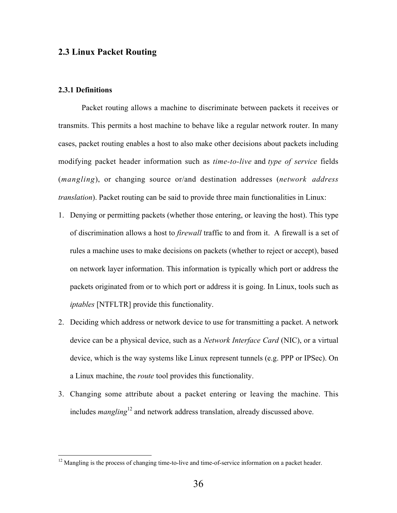# 2.3 Linux Packet Routing

## 2.3.1 Definitions

Packet routing allows a machine to discriminate between packets it receives or transmits. This permits a host machine to behave like a regular network router. In many cases, packet routing enables a host to also make other decisions about packets including modifying packet header information such as *time-to-live* and *type of service* fields (*mangling*), or changing source or/and destination addresses (*network address translation*). Packet routing can be said to provide three main functionalities in Linux:

- 1. Denying or permitting packets (whether those entering, or leaving the host). This type of discrimination allows a host to *firewall* traffic to and from it. A firewall is a set of rules a machine uses to make decisions on packets (whether to reject or accept), based on network layer information. This information is typically which port or address the packets originated from or to which port or address it is going. In Linux, tools such as *iptables* [NTFLTR] provide this functionality.
- 2. Deciding which address or network device to use for transmitting a packet. A network device can be a physical device, such as a *Network Interface Card* (NIC), or a virtual device, which is the way systems like Linux represent tunnels (e.g. PPP or IPSec). On a Linux machine, the *route* tool provides this functionality.
- 3. Changing some attribute about a packet entering or leaving the machine. This includes *mangling*<sup>12</sup> and network address translation, already discussed above.

<sup>&</sup>lt;sup>12</sup> Mangling is the process of changing time-to-live and time-of-service information on a packet header.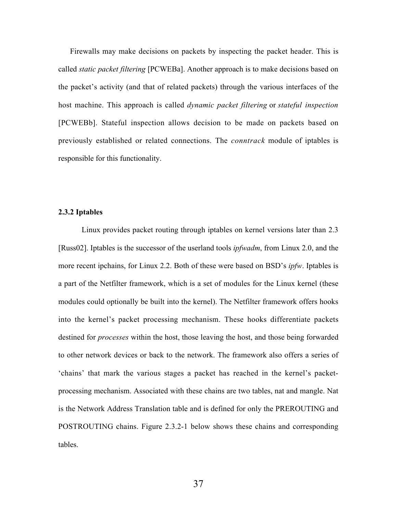Firewalls may make decisions on packets by inspecting the packet header. This is called *static packet filtering* [PCWEBa]. Another approach is to make decisions based on the packet's activity (and that of related packets) through the various interfaces of the host machine. This approach is called *dynamic packet filtering* or *stateful inspection* [PCWEBb]. Stateful inspection allows decision to be made on packets based on previously established or related connections. The *conntrack* module of iptables is responsible for this functionality.

## 2.3.2 Iptables

Linux provides packet routing through iptables on kernel versions later than 2.3 [Russ02]. Iptables is the successor of the userland tools *ipfwadm*, from Linux 2.0, and the more recent ipchains, for Linux 2.2. Both of these were based on BSD's *ipfw*. Iptables is a part of the Netfilter framework, which is a set of modules for the Linux kernel (these modules could optionally be built into the kernel). The Netfilter framework offers hooks into the kernel's packet processing mechanism. These hooks differentiate packets destined for *processes* within the host, those leaving the host, and those being forwarded to other network devices or back to the network. The framework also offers a series of 'chains' that mark the various stages a packet has reached in the kernel's packetprocessing mechanism. Associated with these chains are two tables, nat and mangle. Nat is the Network Address Translation table and is defined for only the PREROUTING and POSTROUTING chains. Figure 2.3.2-1 below shows these chains and corresponding tables.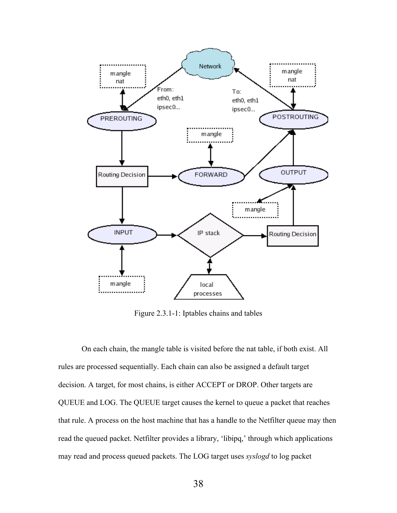

Figure 2.3.1-1: Iptables chains and tables

On each chain, the mangle table is visited before the nat table, if both exist. All rules are processed sequentially. Each chain can also be assigned a default target decision. A target, for most chains, is either ACCEPT or DROP. Other targets are QUEUE and LOG. The QUEUE target causes the kernel to queue a packet that reaches that rule. A process on the host machine that has a handle to the Netfilter queue may then read the queued packet. Netfilter provides a library, 'libipq,' through which applications may read and process queued packets. The LOG target uses *syslogd* to log packet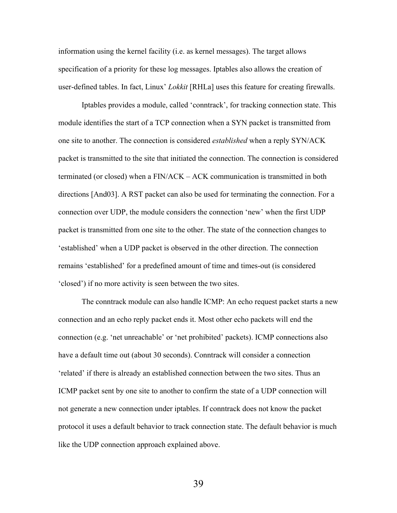information using the kernel facility (i.e. as kernel messages). The target allows specification of a priority for these log messages. Iptables also allows the creation of user-defined tables. In fact, Linux' *Lokkit* [RHLa] uses this feature for creating firewalls.

Iptables provides a module, called 'conntrack', for tracking connection state. This module identifies the start of a TCP connection when a SYN packet is transmitted from one site to another. The connection is considered *established* when a reply SYN/ACK packet is transmitted to the site that initiated the connection. The connection is considered terminated (or closed) when a FIN/ACK – ACK communication is transmitted in both directions [And03]. A RST packet can also be used for terminating the connection. For a connection over UDP, the module considers the connection 'new' when the first UDP packet is transmitted from one site to the other. The state of the connection changes to 'established' when a UDP packet is observed in the other direction. The connection remains 'established' for a predefined amount of time and times-out (is considered 'closed') if no more activity is seen between the two sites.

The conntrack module can also handle ICMP: An echo request packet starts a new connection and an echo reply packet ends it. Most other echo packets will end the connection (e.g. 'net unreachable' or 'net prohibited' packets). ICMP connections also have a default time out (about 30 seconds). Conntrack will consider a connection 'related' if there is already an established connection between the two sites. Thus an ICMP packet sent by one site to another to confirm the state of a UDP connection will not generate a new connection under iptables. If conntrack does not know the packet protocol it uses a default behavior to track connection state. The default behavior is much like the UDP connection approach explained above.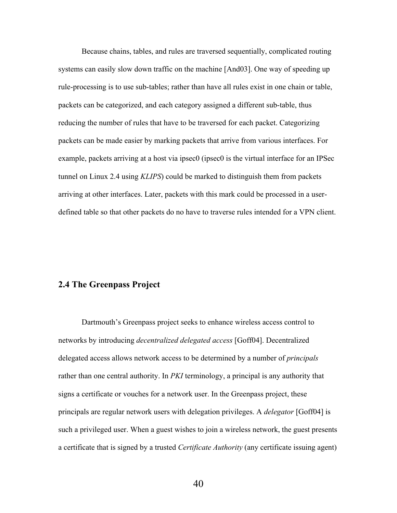Because chains, tables, and rules are traversed sequentially, complicated routing systems can easily slow down traffic on the machine [And03]. One way of speeding up rule-processing is to use sub-tables; rather than have all rules exist in one chain or table, packets can be categorized, and each category assigned a different sub-table, thus reducing the number of rules that have to be traversed for each packet. Categorizing packets can be made easier by marking packets that arrive from various interfaces. For example, packets arriving at a host via ipsec0 (ipsec0 is the virtual interface for an IPSec tunnel on Linux 2.4 using *KLIPS*) could be marked to distinguish them from packets arriving at other interfaces. Later, packets with this mark could be processed in a userdefined table so that other packets do no have to traverse rules intended for a VPN client.

# 2.4 The Greenpass Project

Dartmouth's Greenpass project seeks to enhance wireless access control to networks by introducing *decentralized delegated access* [Goff04]. Decentralized delegated access allows network access to be determined by a number of *principals* rather than one central authority. In *PKI* terminology, a principal is any authority that signs a certificate or vouches for a network user. In the Greenpass project, these principals are regular network users with delegation privileges. A *delegator* [Goff04] is such a privileged user. When a guest wishes to join a wireless network, the guest presents a certificate that is signed by a trusted *Certificate Authority* (any certificate issuing agent)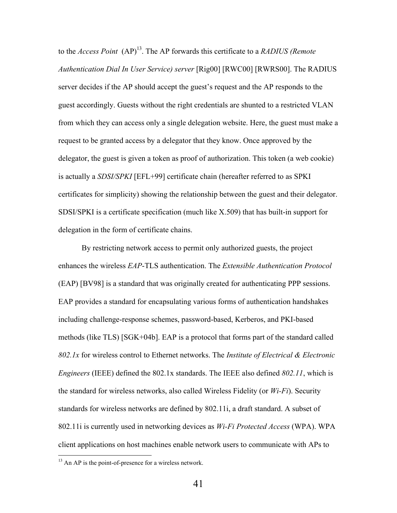to the *Access Point* (AP)<sup>13</sup>. The AP forwards this certificate to a *RADIUS (Remote Authentication Dial In User Service) server* [Rig00] [RWC00] [RWRS00]. The RADIUS server decides if the AP should accept the guest's request and the AP responds to the guest accordingly. Guests without the right credentials are shunted to a restricted VLAN from which they can access only a single delegation website. Here, the guest must make a request to be granted access by a delegator that they know. Once approved by the delegator, the guest is given a token as proof of authorization. This token (a web cookie) is actually a *SDSI/SPKI* [EFL+99] certificate chain (hereafter referred to as SPKI certificates for simplicity) showing the relationship between the guest and their delegator. SDSI/SPKI is a certificate specification (much like X.509) that has built-in support for delegation in the form of certificate chains.

By restricting network access to permit only authorized guests, the project enhances the wireless *EAP*-TLS authentication. The *Extensible Authentication Protocol* (EAP) [BV98] is a standard that was originally created for authenticating PPP sessions. EAP provides a standard for encapsulating various forms of authentication handshakes including challenge-response schemes, password-based, Kerberos, and PKI-based methods (like TLS) [SGK+04b]. EAP is a protocol that forms part of the standard called *802.1x* for wireless control to Ethernet networks. The *Institute of Electrical & Electronic Engineers* (IEEE) defined the 802.1x standards. The IEEE also defined *802.11*, which is the standard for wireless networks, also called Wireless Fidelity (or *Wi-Fi*). Security standards for wireless networks are defined by 802.11i, a draft standard. A subset of 802.11i is currently used in networking devices as *Wi-Fi Protected Access* (WPA). WPA client applications on host machines enable network users to communicate with APs to

<sup>&</sup>lt;sup>13</sup> An AP is the point-of-presence for a wireless network.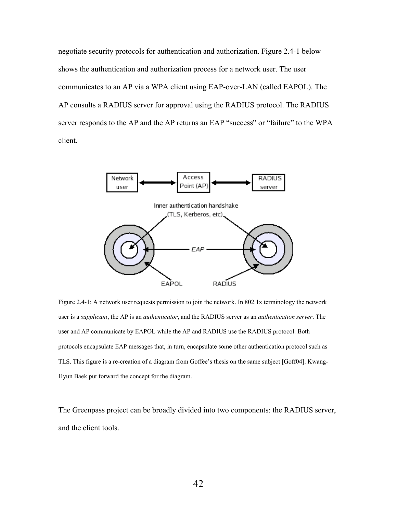negotiate security protocols for authentication and authorization. Figure 2.4-1 below shows the authentication and authorization process for a network user. The user communicates to an AP via a WPA client using EAP-over-LAN (called EAPOL). The AP consults a RADIUS server for approval using the RADIUS protocol. The RADIUS server responds to the AP and the AP returns an EAP "success" or "failure" to the WPA client.



Figure 2.4-1: A network user requests permission to join the network. In 802.1x terminology the network user is a *supplicant*, the AP is an *authenticator*, and the RADIUS server as an *authentication server*. The user and AP communicate by EAPOL while the AP and RADIUS use the RADIUS protocol. Both protocols encapsulate EAP messages that, in turn, encapsulate some other authentication protocol such as TLS. This figure is a re-creation of a diagram from Goffee's thesis on the same subject [Goff04]. Kwang-Hyun Baek put forward the concept for the diagram.

The Greenpass project can be broadly divided into two components: the RADIUS server, and the client tools.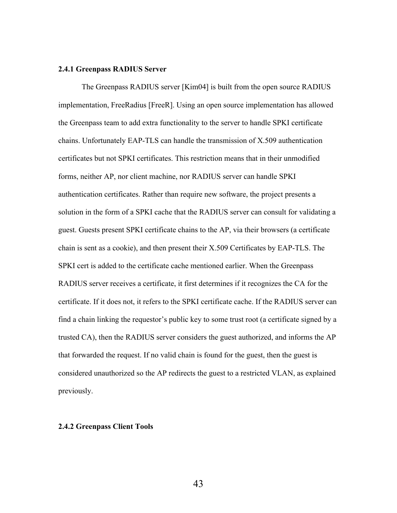#### 2.4.1 Greenpass RADIUS Server

The Greenpass RADIUS server [Kim04] is built from the open source RADIUS implementation, FreeRadius [FreeR]. Using an open source implementation has allowed the Greenpass team to add extra functionality to the server to handle SPKI certificate chains. Unfortunately EAP-TLS can handle the transmission of X.509 authentication certificates but not SPKI certificates. This restriction means that in their unmodified forms, neither AP, nor client machine, nor RADIUS server can handle SPKI authentication certificates. Rather than require new software, the project presents a solution in the form of a SPKI cache that the RADIUS server can consult for validating a guest. Guests present SPKI certificate chains to the AP, via their browsers (a certificate chain is sent as a cookie), and then present their X.509 Certificates by EAP-TLS. The SPKI cert is added to the certificate cache mentioned earlier. When the Greenpass RADIUS server receives a certificate, it first determines if it recognizes the CA for the certificate. If it does not, it refers to the SPKI certificate cache. If the RADIUS server can find a chain linking the requestor's public key to some trust root (a certificate signed by a trusted CA), then the RADIUS server considers the guest authorized, and informs the AP that forwarded the request. If no valid chain is found for the guest, then the guest is considered unauthorized so the AP redirects the guest to a restricted VLAN, as explained previously.

#### 2.4.2 Greenpass Client Tools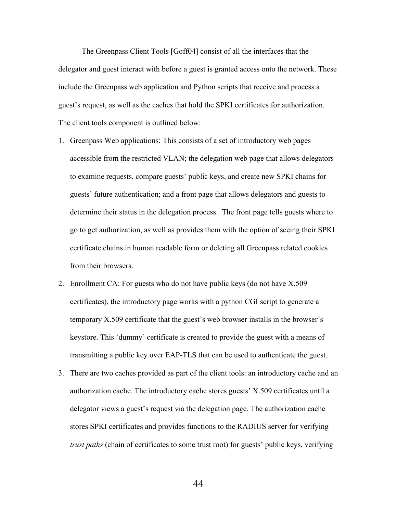The Greenpass Client Tools [Goff04] consist of all the interfaces that the delegator and guest interact with before a guest is granted access onto the network. These include the Greenpass web application and Python scripts that receive and process a guest's request, as well as the caches that hold the SPKI certificates for authorization. The client tools component is outlined below:

- 1. Greenpass Web applications: This consists of a set of introductory web pages accessible from the restricted VLAN; the delegation web page that allows delegators to examine requests, compare guests' public keys, and create new SPKI chains for guests' future authentication; and a front page that allows delegators and guests to determine their status in the delegation process. The front page tells guests where to go to get authorization, as well as provides them with the option of seeing their SPKI certificate chains in human readable form or deleting all Greenpass related cookies from their browsers.
- 2. Enrollment CA: For guests who do not have public keys (do not have X.509 certificates), the introductory page works with a python CGI script to generate a temporary X.509 certificate that the guest's web browser installs in the browser's keystore. This 'dummy' certificate is created to provide the guest with a means of transmitting a public key over EAP-TLS that can be used to authenticate the guest.
- 3. There are two caches provided as part of the client tools: an introductory cache and an authorization cache. The introductory cache stores guests' X.509 certificates until a delegator views a guest's request via the delegation page. The authorization cache stores SPKI certificates and provides functions to the RADIUS server for verifying *trust paths* (chain of certificates to some trust root) for guests' public keys, verifying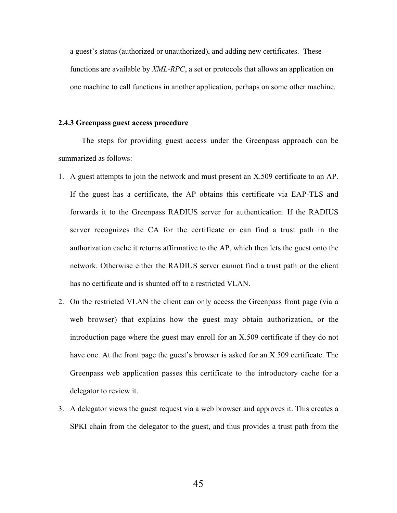a guest's status (authorized or unauthorized), and adding new certificates. These functions are available by *XML-RPC*, a set or protocols that allows an application on one machine to call functions in another application, perhaps on some other machine.

#### 2.4.3 Greenpass guest access procedure

The steps for providing guest access under the Greenpass approach can be summarized as follows:

- 1. A guest attempts to join the network and must present an X.509 certificate to an AP. If the guest has a certificate, the AP obtains this certificate via EAP-TLS and forwards it to the Greenpass RADIUS server for authentication. If the RADIUS server recognizes the CA for the certificate or can find a trust path in the authorization cache it returns affirmative to the AP, which then lets the guest onto the network. Otherwise either the RADIUS server cannot find a trust path or the client has no certificate and is shunted off to a restricted VLAN.
- 2. On the restricted VLAN the client can only access the Greenpass front page (via a web browser) that explains how the guest may obtain authorization, or the introduction page where the guest may enroll for an X.509 certificate if they do not have one. At the front page the guest's browser is asked for an X.509 certificate. The Greenpass web application passes this certificate to the introductory cache for a delegator to review it.
- 3. A delegator views the guest request via a web browser and approves it. This creates a SPKI chain from the delegator to the guest, and thus provides a trust path from the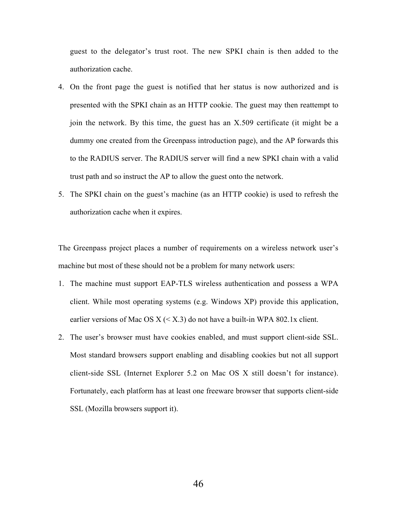guest to the delegator's trust root. The new SPKI chain is then added to the authorization cache.

- 4. On the front page the guest is notified that her status is now authorized and is presented with the SPKI chain as an HTTP cookie. The guest may then reattempt to join the network. By this time, the guest has an X.509 certificate (it might be a dummy one created from the Greenpass introduction page), and the AP forwards this to the RADIUS server. The RADIUS server will find a new SPKI chain with a valid trust path and so instruct the AP to allow the guest onto the network.
- 5. The SPKI chain on the guest's machine (as an HTTP cookie) is used to refresh the authorization cache when it expires.

The Greenpass project places a number of requirements on a wireless network user's machine but most of these should not be a problem for many network users:

- 1. The machine must support EAP-TLS wireless authentication and possess a WPA client. While most operating systems (e.g. Windows XP) provide this application, earlier versions of Mac OS  $X \leq X.3$  do not have a built-in WPA 802.1x client.
- 2. The user's browser must have cookies enabled, and must support client-side SSL. Most standard browsers support enabling and disabling cookies but not all support client-side SSL (Internet Explorer 5.2 on Mac OS X still doesn't for instance). Fortunately, each platform has at least one freeware browser that supports client-side SSL (Mozilla browsers support it).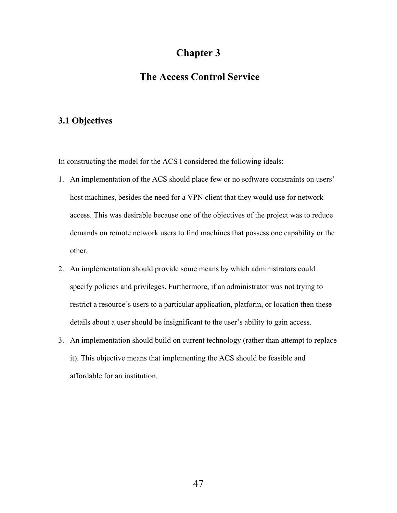# Chapter 3

# The Access Control Service

# 3.1 Objectives

In constructing the model for the ACS I considered the following ideals:

- 1. An implementation of the ACS should place few or no software constraints on users' host machines, besides the need for a VPN client that they would use for network access. This was desirable because one of the objectives of the project was to reduce demands on remote network users to find machines that possess one capability or the other.
- 2. An implementation should provide some means by which administrators could specify policies and privileges. Furthermore, if an administrator was not trying to restrict a resource's users to a particular application, platform, or location then these details about a user should be insignificant to the user's ability to gain access.
- 3. An implementation should build on current technology (rather than attempt to replace it). This objective means that implementing the ACS should be feasible and affordable for an institution.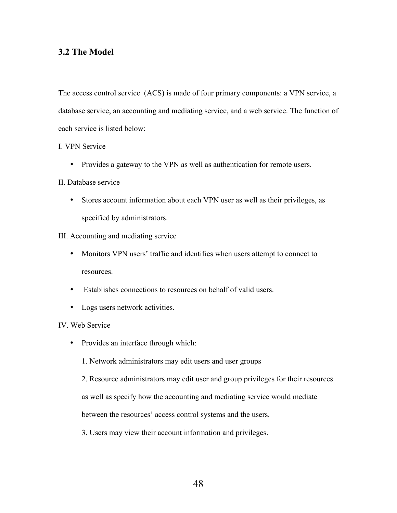# 3.2 The Model

The access control service (ACS) is made of four primary components: a VPN service, a database service, an accounting and mediating service, and a web service. The function of each service is listed below:

# I. VPN Service

• Provides a gateway to the VPN as well as authentication for remote users.

# II. Database service

• Stores account information about each VPN user as well as their privileges, as specified by administrators.

## III. Accounting and mediating service

- Monitors VPN users' traffic and identifies when users attempt to connect to resources.
- Establishes connections to resources on behalf of valid users.
- Logs users network activities.

# IV. Web Service

- Provides an interface through which:
	- 1. Network administrators may edit users and user groups
	- 2. Resource administrators may edit user and group privileges for their resources

as well as specify how the accounting and mediating service would mediate

between the resources' access control systems and the users.

3. Users may view their account information and privileges.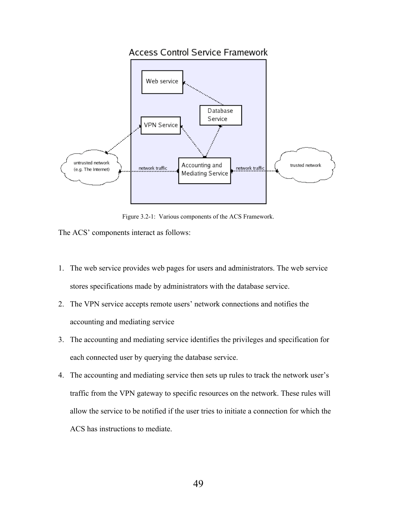# **Access Control Service Framework**



Figure 3.2-1: Various components of the ACS Framework.

The ACS' components interact as follows:

- 1. The web service provides web pages for users and administrators. The web service stores specifications made by administrators with the database service.
- 2. The VPN service accepts remote users' network connections and notifies the accounting and mediating service
- 3. The accounting and mediating service identifies the privileges and specification for each connected user by querying the database service.
- 4. The accounting and mediating service then sets up rules to track the network user's traffic from the VPN gateway to specific resources on the network. These rules will allow the service to be notified if the user tries to initiate a connection for which the ACS has instructions to mediate.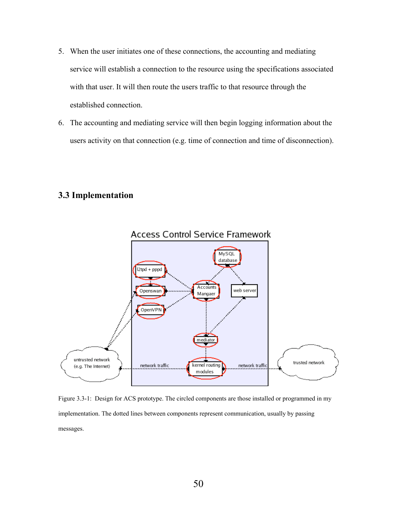- 5. When the user initiates one of these connections, the accounting and mediating service will establish a connection to the resource using the specifications associated with that user. It will then route the users traffic to that resource through the established connection.
- 6. The accounting and mediating service will then begin logging information about the users activity on that connection (e.g. time of connection and time of disconnection).

# 3.3 Implementation



Figure 3.3-1: Design for ACS prototype. The circled components are those installed or programmed in my implementation. The dotted lines between components represent communication, usually by passing messages.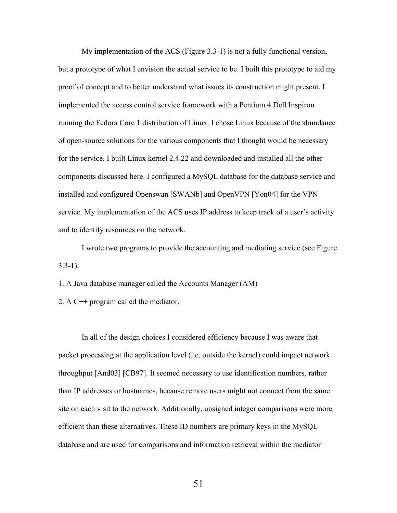My implementation of the ACS (Figure 3.3-1) is not a fully functional version, but a prototype of what I envision the actual service to be. I built this prototype to aid my proof of concept and to better understand what issues its construction might present. I implemented the access control service framework with a Pentium 4 Dell Inspiron running the Fedora Core 1 distribution of Linux. I chose Linux because of the abundance of open-source solutions for the various components that I thought would be necessary for the service. I built Linux kernel 2.4.22 and downloaded and installed all the other components discussed here. I configured a MySQL database for the database service and installed and configured Openswan [SWANb] and OpenVPN [Yon04] for the VPN service. My implementation of the ACS uses IP address to keep track of a user's activity and to identify resources on the network.

I wrote two programs to provide the accounting and mediating service (see Figure  $3.3 - 1$ :

1. A Java database manager called the Accounts Manager (AM)

2. A C++ program called the mediator.

In all of the design choices I considered efficiency because I was aware that packet processing at the application level (i.e. outside the kernel) could impact network throughput [And03] [CB97]. It seemed necessary to use identification numbers, rather than IP addresses or hostnames, because remote users might not connect from the same site on each visit to the network. Additionally, unsigned integer comparisons were more efficient than these alternatives. These ID numbers are primary keys in the MySQL database and are used for comparisons and information retrieval within the mediator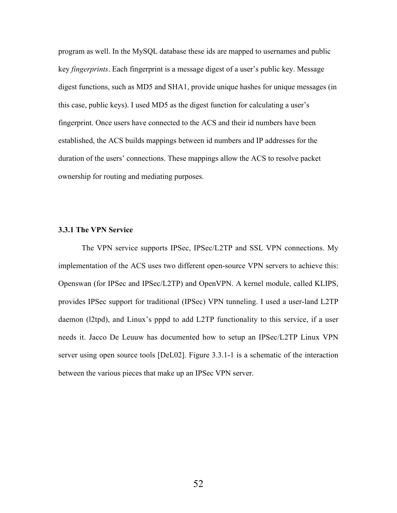program as well. In the MySQL database these ids are mapped to usernames and public key *fingerprints*. Each fingerprint is a message digest of a user's public key. Message digest functions, such as MD5 and SHA1, provide unique hashes for unique messages (in this case, public keys). I used MD5 as the digest function for calculating a user's fingerprint. Once users have connected to the ACS and their id numbers have been established, the ACS builds mappings between id numbers and IP addresses for the duration of the users' connections. These mappings allow the ACS to resolve packet ownership for routing and mediating purposes.

### 3.3.1 The VPN Service

The VPN service supports IPSec, IPSec/L2TP and SSL VPN connections. My implementation of the ACS uses two different open-source VPN servers to achieve this: Openswan (for IPSec and IPSec/L2TP) and OpenVPN. A kernel module, called KLIPS, provides IPSec support for traditional (IPSec) VPN tunneling. I used a user-land L2TP daemon (l2tpd), and Linux's pppd to add L2TP functionality to this service, if a user needs it. Jacco De Leuuw has documented how to setup an IPSec/L2TP Linux VPN server using open source tools [DeL02]. Figure 3.3.1-1 is a schematic of the interaction between the various pieces that make up an IPSec VPN server.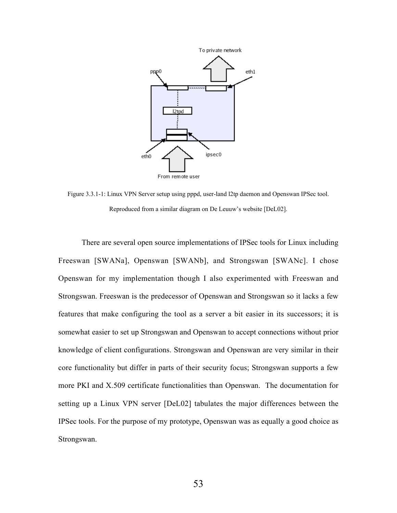

Figure 3.3.1-1: Linux VPN Server setup using pppd, user-land l2tp daemon and Openswan IPSec tool. Reproduced from a similar diagram on De Leuuw's website [DeL02].

There are several open source implementations of IPSec tools for Linux including Freeswan [SWANa], Openswan [SWANb], and Strongswan [SWANc]. I chose Openswan for my implementation though I also experimented with Freeswan and Strongswan. Freeswan is the predecessor of Openswan and Strongswan so it lacks a few features that make configuring the tool as a server a bit easier in its successors; it is somewhat easier to set up Strongswan and Openswan to accept connections without prior knowledge of client configurations. Strongswan and Openswan are very similar in their core functionality but differ in parts of their security focus; Strongswan supports a few more PKI and X.509 certificate functionalities than Openswan. The documentation for setting up a Linux VPN server [DeL02] tabulates the major differences between the IPSec tools. For the purpose of my prototype, Openswan was as equally a good choice as Strongswan.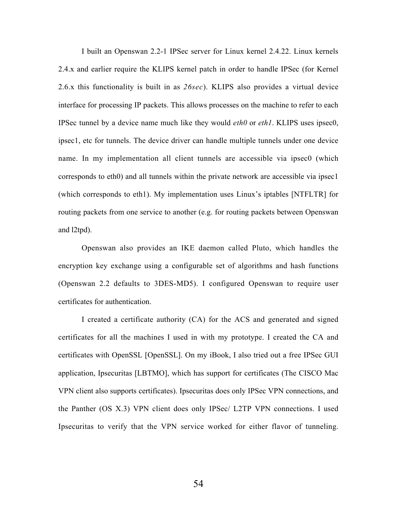I built an Openswan 2.2-1 IPSec server for Linux kernel 2.4.22. Linux kernels 2.4.x and earlier require the KLIPS kernel patch in order to handle IPSec (for Kernel 2.6.x this functionality is built in as *26sec*). KLIPS also provides a virtual device interface for processing IP packets. This allows processes on the machine to refer to each IPSec tunnel by a device name much like they would *eth0* or *eth1*. KLIPS uses ipsec0, ipsec1, etc for tunnels. The device driver can handle multiple tunnels under one device name. In my implementation all client tunnels are accessible via ipsec0 (which corresponds to eth0) and all tunnels within the private network are accessible via ipsec1 (which corresponds to eth1). My implementation uses Linux's iptables [NTFLTR] for routing packets from one service to another (e.g. for routing packets between Openswan and l2tpd).

Openswan also provides an IKE daemon called Pluto, which handles the encryption key exchange using a configurable set of algorithms and hash functions (Openswan 2.2 defaults to 3DES-MD5). I configured Openswan to require user certificates for authentication.

I created a certificate authority (CA) for the ACS and generated and signed certificates for all the machines I used in with my prototype. I created the CA and certificates with OpenSSL [OpenSSL]. On my iBook, I also tried out a free IPSec GUI application, Ipsecuritas [LBTMO], which has support for certificates (The CISCO Mac VPN client also supports certificates). Ipsecuritas does only IPSec VPN connections, and the Panther (OS X.3) VPN client does only IPSec/ L2TP VPN connections. I used Ipsecuritas to verify that the VPN service worked for either flavor of tunneling.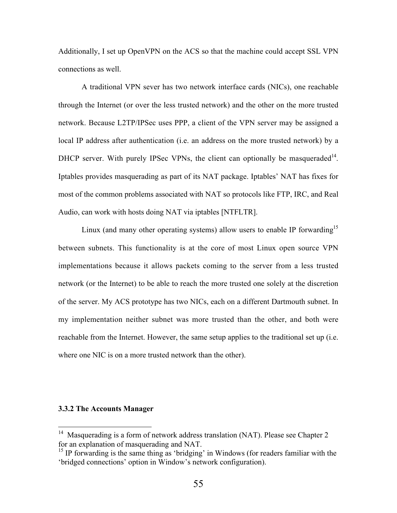Additionally, I set up OpenVPN on the ACS so that the machine could accept SSL VPN connections as well.

A traditional VPN sever has two network interface cards (NICs), one reachable through the Internet (or over the less trusted network) and the other on the more trusted network. Because L2TP/IPSec uses PPP, a client of the VPN server may be assigned a local IP address after authentication (i.e. an address on the more trusted network) by a DHCP server. With purely IPSec VPNs, the client can optionally be masqueraded $^{14}$ . Iptables provides masquerading as part of its NAT package. Iptables' NAT has fixes for most of the common problems associated with NAT so protocols like FTP, IRC, and Real Audio, can work with hosts doing NAT via iptables [NTFLTR].

Linux (and many other operating systems) allow users to enable IP forwarding<sup>15</sup> between subnets. This functionality is at the core of most Linux open source VPN implementations because it allows packets coming to the server from a less trusted network (or the Internet) to be able to reach the more trusted one solely at the discretion of the server. My ACS prototype has two NICs, each on a different Dartmouth subnet. In my implementation neither subnet was more trusted than the other, and both were reachable from the Internet. However, the same setup applies to the traditional set up (i.e. where one NIC is on a more trusted network than the other).

#### 3.3.2 The Accounts Manager

 <sup>14</sup> Masquerading is a form of network address translation (NAT). Please see Chapter 2 for an explanation of masquerading and NAT.

<sup>&</sup>lt;sup>15</sup> IP forwarding is the same thing as 'bridging' in Windows (for readers familiar with the 'bridged connections' option in Window's network configuration).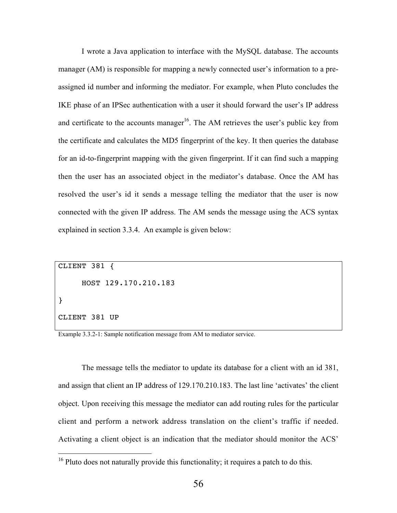I wrote a Java application to interface with the MySQL database. The accounts manager (AM) is responsible for mapping a newly connected user's information to a preassigned id number and informing the mediator. For example, when Pluto concludes the IKE phase of an IPSec authentication with a user it should forward the user's IP address and certificate to the accounts manager<sup>16</sup>. The AM retrieves the user's public key from the certificate and calculates the MD5 fingerprint of the key. It then queries the database for an id-to-fingerprint mapping with the given fingerprint. If it can find such a mapping then the user has an associated object in the mediator's database. Once the AM has resolved the user's id it sends a message telling the mediator that the user is now connected with the given IP address. The AM sends the message using the ACS syntax explained in section 3.3.4. An example is given below:

CLIENT 381 { HOST 129.170.210.183 } CLIENT 381 UP

Example 3.3.2-1: Sample notification message from AM to mediator service.

The message tells the mediator to update its database for a client with an id 381, and assign that client an IP address of 129.170.210.183. The last line 'activates' the client object. Upon receiving this message the mediator can add routing rules for the particular client and perform a network address translation on the client's traffic if needed. Activating a client object is an indication that the mediator should monitor the ACS'

<sup>&</sup>lt;sup>16</sup> Pluto does not naturally provide this functionality; it requires a patch to do this.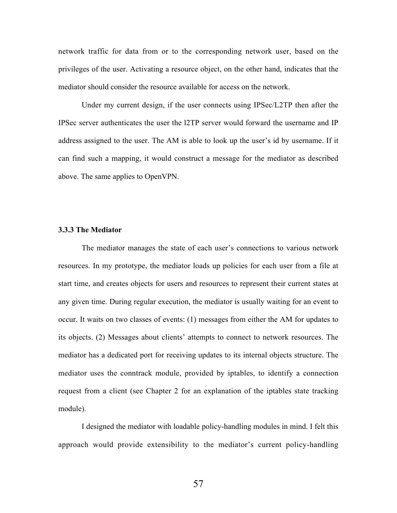network traffic for data from or to the corresponding network user, based on the privileges of the user. Activating a resource object, on the other hand, indicates that the mediator should consider the resource available for access on the network.

Under my current design, if the user connects using IPSec/L2TP then after the IPSec server authenticates the user the l2TP server would forward the username and IP address assigned to the user. The AM is able to look up the user's id by username. If it can find such a mapping, it would construct a message for the mediator as described above. The same applies to OpenVPN.

## 3.3.3 The Mediator

The mediator manages the state of each user's connections to various network resources. In my prototype, the mediator loads up policies for each user from a file at start time, and creates objects for users and resources to represent their current states at any given time. During regular execution, the mediator is usually waiting for an event to occur. It waits on two classes of events: (1) messages from either the AM for updates to its objects. (2) Messages about clients' attempts to connect to network resources. The mediator has a dedicated port for receiving updates to its internal objects structure. The mediator uses the conntrack module, provided by iptables, to identify a connection request from a client (see Chapter 2 for an explanation of the iptables state tracking module).

I designed the mediator with loadable policy-handling modules in mind. I felt this approach would provide extensibility to the mediator's current policy-handling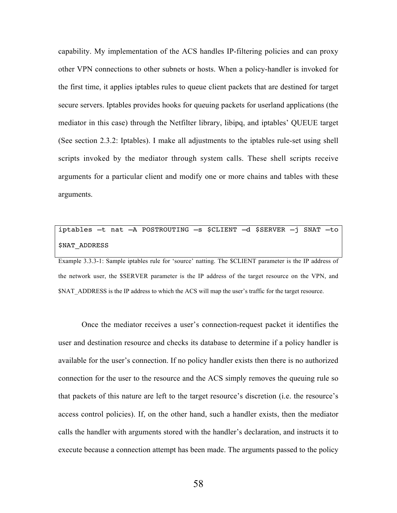capability. My implementation of the ACS handles IP-filtering policies and can proxy other VPN connections to other subnets or hosts. When a policy-handler is invoked for the first time, it applies iptables rules to queue client packets that are destined for target secure servers. Iptables provides hooks for queuing packets for userland applications (the mediator in this case) through the Netfilter library, libipq, and iptables' QUEUE target (See section 2.3.2: Iptables). I make all adjustments to the iptables rule-set using shell scripts invoked by the mediator through system calls. These shell scripts receive arguments for a particular client and modify one or more chains and tables with these arguments.

# iptables –t nat –A POSTROUTING –s \$CLIENT –d \$SERVER –j SNAT –to \$NAT\_ADDRESS

Example 3.3.3-1: Sample iptables rule for 'source' natting. The \$CLIENT parameter is the IP address of the network user, the \$SERVER parameter is the IP address of the target resource on the VPN, and \$NAT\_ADDRESS is the IP address to which the ACS will map the user's traffic for the target resource.

Once the mediator receives a user's connection-request packet it identifies the user and destination resource and checks its database to determine if a policy handler is available for the user's connection. If no policy handler exists then there is no authorized connection for the user to the resource and the ACS simply removes the queuing rule so that packets of this nature are left to the target resource's discretion (i.e. the resource's access control policies). If, on the other hand, such a handler exists, then the mediator calls the handler with arguments stored with the handler's declaration, and instructs it to execute because a connection attempt has been made. The arguments passed to the policy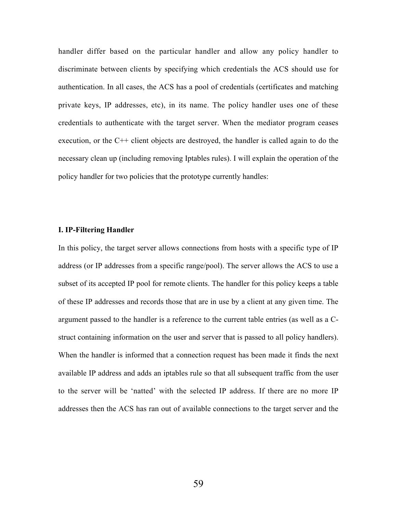handler differ based on the particular handler and allow any policy handler to discriminate between clients by specifying which credentials the ACS should use for authentication. In all cases, the ACS has a pool of credentials (certificates and matching private keys, IP addresses, etc), in its name. The policy handler uses one of these credentials to authenticate with the target server. When the mediator program ceases execution, or the C++ client objects are destroyed, the handler is called again to do the necessary clean up (including removing Iptables rules). I will explain the operation of the policy handler for two policies that the prototype currently handles:

### I. IP-Filtering Handler

In this policy, the target server allows connections from hosts with a specific type of IP address (or IP addresses from a specific range/pool). The server allows the ACS to use a subset of its accepted IP pool for remote clients. The handler for this policy keeps a table of these IP addresses and records those that are in use by a client at any given time. The argument passed to the handler is a reference to the current table entries (as well as a Cstruct containing information on the user and server that is passed to all policy handlers). When the handler is informed that a connection request has been made it finds the next available IP address and adds an iptables rule so that all subsequent traffic from the user to the server will be 'natted' with the selected IP address. If there are no more IP addresses then the ACS has ran out of available connections to the target server and the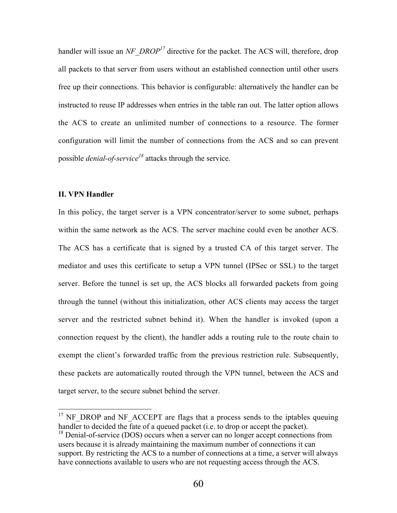handler will issue an *NF\_DROP<sup>17</sup>* directive for the packet. The ACS will, therefore, drop all packets to that server from users without an established connection until other users free up their connections. This behavior is configurable: alternatively the handler can be instructed to reuse IP addresses when entries in the table ran out. The latter option allows the ACS to create an unlimited number of connections to a resource. The former configuration will limit the number of connections from the ACS and so can prevent possible *denial-of-service<sup>18</sup>* attacks through the service.

## II. VPN Handler

In this policy, the target server is a VPN concentrator/server to some subnet, perhaps within the same network as the ACS. The server machine could even be another ACS. The ACS has a certificate that is signed by a trusted CA of this target server. The mediator and uses this certificate to setup a VPN tunnel (IPSec or SSL) to the target server. Before the tunnel is set up, the ACS blocks all forwarded packets from going through the tunnel (without this initialization, other ACS clients may access the target server and the restricted subnet behind it). When the handler is invoked (upon a connection request by the client), the handler adds a routing rule to the route chain to exempt the client's forwarded traffic from the previous restriction rule. Subsequently, these packets are automatically routed through the VPN tunnel, between the ACS and target server, to the secure subnet behind the server.

<sup>&</sup>lt;sup>17</sup> NF\_DROP and NF\_ACCEPT are flags that a process sends to the iptables queuing handler to decided the fate of a queued packet (i.e. to drop or accept the packet). <sup>18</sup> Denial-of-service (DOS) occurs when a server can no longer accept connections from users because it is already maintaining the maximum number of connections it can support. By restricting the ACS to a number of connections at a time, a server will always have connections available to users who are not requesting access through the ACS.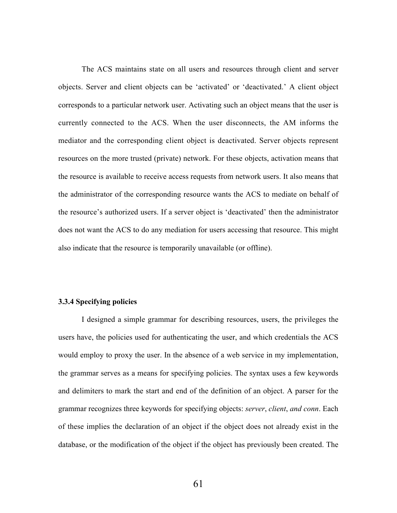The ACS maintains state on all users and resources through client and server objects. Server and client objects can be 'activated' or 'deactivated.' A client object corresponds to a particular network user. Activating such an object means that the user is currently connected to the ACS. When the user disconnects, the AM informs the mediator and the corresponding client object is deactivated. Server objects represent resources on the more trusted (private) network. For these objects, activation means that the resource is available to receive access requests from network users. It also means that the administrator of the corresponding resource wants the ACS to mediate on behalf of the resource's authorized users. If a server object is 'deactivated' then the administrator does not want the ACS to do any mediation for users accessing that resource. This might also indicate that the resource is temporarily unavailable (or offline).

### 3.3.4 Specifying policies

I designed a simple grammar for describing resources, users, the privileges the users have, the policies used for authenticating the user, and which credentials the ACS would employ to proxy the user. In the absence of a web service in my implementation, the grammar serves as a means for specifying policies. The syntax uses a few keywords and delimiters to mark the start and end of the definition of an object. A parser for the grammar recognizes three keywords for specifying objects: *server*, *client*, *and conn*. Each of these implies the declaration of an object if the object does not already exist in the database, or the modification of the object if the object has previously been created. The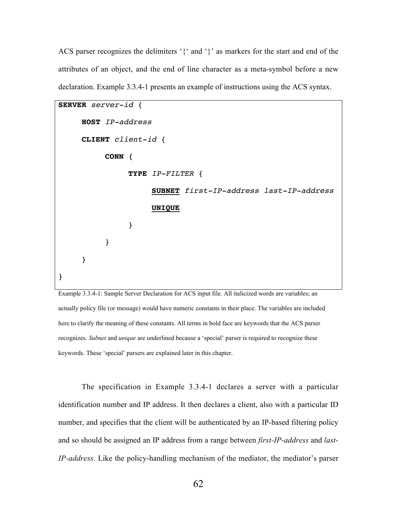ACS parser recognizes the delimiters '{' and '}' as markers for the start and end of the attributes of an object, and the end of line character as a meta-symbol before a new declaration. Example 3.3.4-1 presents an example of instructions using the ACS syntax.

```
SERVER server-id {
     HOST IP-address
     CLIENT client-id {
          CONN {
               TYPE IP-FILTER {
                     SUBNET first-IP-address last-IP-address
                     UNIQUE
               }
          }
     }
}
```
Example 3.3.4-1: Sample Server Declaration for ACS input file. All italicized words are variables; an actually policy file (or message) would have numeric constants in their place. The variables are included here to clarify the meaning of these constants. All terms in bold face are keywords that the ACS parser recognizes. *Subnet* and *unique* are underlined because a 'special' parser is required to recognize these keywords. These 'special' parsers are explained later in this chapter.

The specification in Example 3.3.4-1 declares a server with a particular identification number and IP address. It then declares a client, also with a particular ID number, and specifies that the client will be authenticated by an IP-based filtering policy and so should be assigned an IP address from a range between *first-IP-address* and *last-IP-address*. Like the policy-handling mechanism of the mediator, the mediator's parser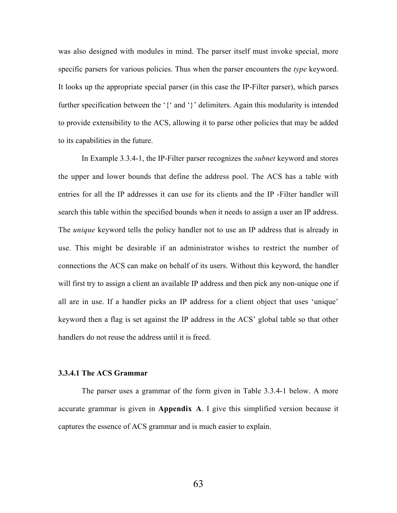was also designed with modules in mind. The parser itself must invoke special, more specific parsers for various policies. Thus when the parser encounters the *type* keyword. It looks up the appropriate special parser (in this case the IP-Filter parser), which parses further specification between the '{' and '}' delimiters. Again this modularity is intended to provide extensibility to the ACS, allowing it to parse other policies that may be added to its capabilities in the future.

In Example 3.3.4-1, the IP-Filter parser recognizes the *subnet* keyword and stores the upper and lower bounds that define the address pool. The ACS has a table with entries for all the IP addresses it can use for its clients and the IP -Filter handler will search this table within the specified bounds when it needs to assign a user an IP address. The *unique* keyword tells the policy handler not to use an IP address that is already in use. This might be desirable if an administrator wishes to restrict the number of connections the ACS can make on behalf of its users. Without this keyword, the handler will first try to assign a client an available IP address and then pick any non-unique one if all are in use. If a handler picks an IP address for a client object that uses 'unique' keyword then a flag is set against the IP address in the ACS' global table so that other handlers do not reuse the address until it is freed.

## 3.3.4.1 The ACS Grammar

The parser uses a grammar of the form given in Table 3.3.4-1 below. A more accurate grammar is given in Appendix A. I give this simplified version because it captures the essence of ACS grammar and is much easier to explain.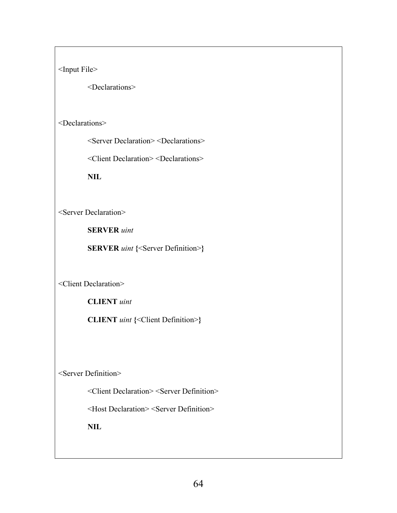<Input File>

<Declarations>

# <Declarations>

<Server Declaration> <Declarations>

<Client Declaration> <Declarations>

NIL

<Server Declaration>

SERVER *uint*

**SERVER** *uint* {<Server Definition>}

<Client Declaration>

CLIENT *uint*

CLIENT *uint* {<Client Definition>}

<Server Definition>

<Client Declaration> <Server Definition>

<Host Declaration> <Server Definition>

NIL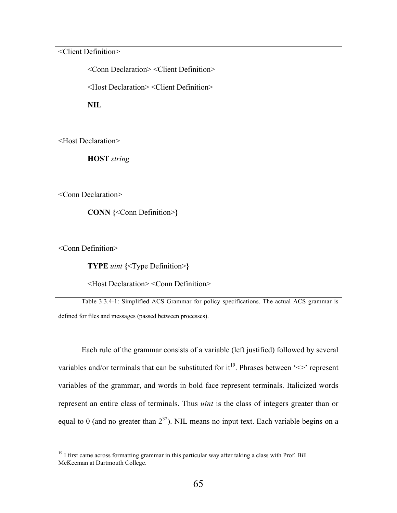<Client Definition>

<Conn Declaration> <Client Definition>

<Host Declaration> <Client Definition>

NIL

<Host Declaration>

HOST *string*

<Conn Declaration>

CONN {<Conn Definition>}

<Conn Definition>

TYPE *uint* {<Type Definition>}

<Host Declaration> <Conn Definition>

Table 3.3.4-1: Simplified ACS Grammar for policy specifications. The actual ACS grammar is defined for files and messages (passed between processes).

Each rule of the grammar consists of a variable (left justified) followed by several variables and/or terminals that can be substituted for it<sup>19</sup>. Phrases between ' $\leq$ ' represent variables of the grammar, and words in bold face represent terminals. Italicized words represent an entire class of terminals. Thus *uint* is the class of integers greater than or equal to 0 (and no greater than  $2^{32}$ ). NIL means no input text. Each variable begins on a

<sup>&</sup>lt;sup>19</sup> I first came across formatting grammar in this particular way after taking a class with Prof. Bill McKeeman at Dartmouth College.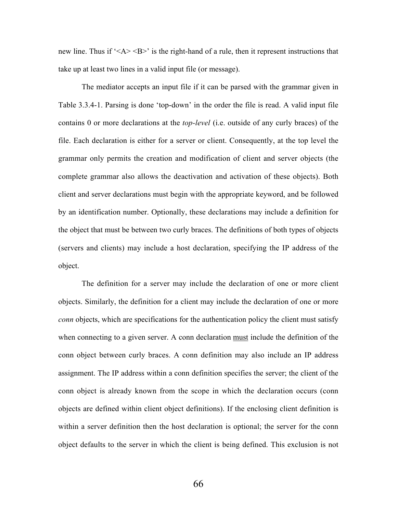new line. Thus if  $\leq A \leq B$  is the right-hand of a rule, then it represent instructions that take up at least two lines in a valid input file (or message).

The mediator accepts an input file if it can be parsed with the grammar given in Table 3.3.4-1. Parsing is done 'top-down' in the order the file is read. A valid input file contains 0 or more declarations at the *top-level* (i.e. outside of any curly braces) of the file. Each declaration is either for a server or client. Consequently, at the top level the grammar only permits the creation and modification of client and server objects (the complete grammar also allows the deactivation and activation of these objects). Both client and server declarations must begin with the appropriate keyword, and be followed by an identification number. Optionally, these declarations may include a definition for the object that must be between two curly braces. The definitions of both types of objects (servers and clients) may include a host declaration, specifying the IP address of the object.

The definition for a server may include the declaration of one or more client objects. Similarly, the definition for a client may include the declaration of one or more *conn* objects, which are specifications for the authentication policy the client must satisfy when connecting to a given server. A conn declaration must include the definition of the conn object between curly braces. A conn definition may also include an IP address assignment. The IP address within a conn definition specifies the server; the client of the conn object is already known from the scope in which the declaration occurs (conn objects are defined within client object definitions). If the enclosing client definition is within a server definition then the host declaration is optional; the server for the conn object defaults to the server in which the client is being defined. This exclusion is not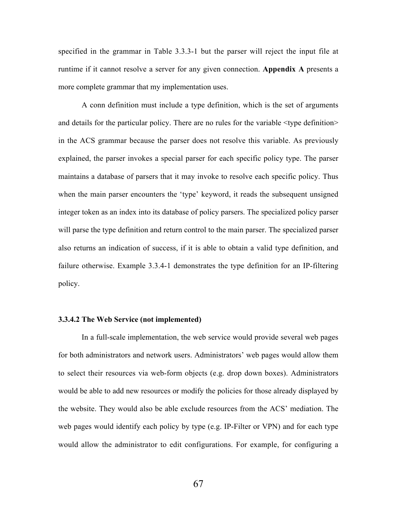specified in the grammar in Table 3.3.3-1 but the parser will reject the input file at runtime if it cannot resolve a server for any given connection. Appendix A presents a more complete grammar that my implementation uses.

A conn definition must include a type definition, which is the set of arguments and details for the particular policy. There are no rules for the variable <type definition> in the ACS grammar because the parser does not resolve this variable. As previously explained, the parser invokes a special parser for each specific policy type. The parser maintains a database of parsers that it may invoke to resolve each specific policy. Thus when the main parser encounters the 'type' keyword, it reads the subsequent unsigned integer token as an index into its database of policy parsers. The specialized policy parser will parse the type definition and return control to the main parser. The specialized parser also returns an indication of success, if it is able to obtain a valid type definition, and failure otherwise. Example 3.3.4-1 demonstrates the type definition for an IP-filtering policy.

### 3.3.4.2 The Web Service (not implemented)

In a full-scale implementation, the web service would provide several web pages for both administrators and network users. Administrators' web pages would allow them to select their resources via web-form objects (e.g. drop down boxes). Administrators would be able to add new resources or modify the policies for those already displayed by the website. They would also be able exclude resources from the ACS' mediation. The web pages would identify each policy by type (e.g. IP-Filter or VPN) and for each type would allow the administrator to edit configurations. For example, for configuring a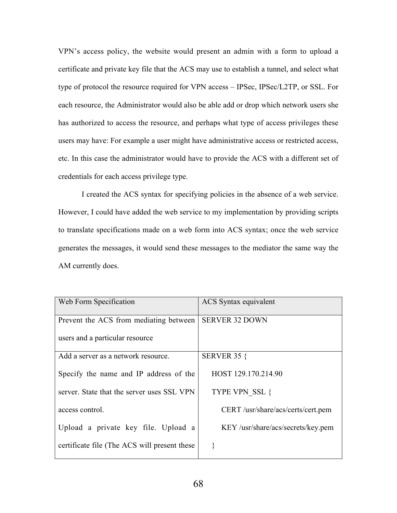VPN's access policy, the website would present an admin with a form to upload a certificate and private key file that the ACS may use to establish a tunnel, and select what type of protocol the resource required for VPN access – IPSec, IPSec/L2TP, or SSL. For each resource, the Administrator would also be able add or drop which network users she has authorized to access the resource, and perhaps what type of access privileges these users may have: For example a user might have administrative access or restricted access, etc. In this case the administrator would have to provide the ACS with a different set of credentials for each access privilege type.

I created the ACS syntax for specifying policies in the absence of a web service. However, I could have added the web service to my implementation by providing scripts to translate specifications made on a web form into ACS syntax; once the web service generates the messages, it would send these messages to the mediator the same way the AM currently does.

| Web Form Specification                       | ACS Syntax equivalent              |
|----------------------------------------------|------------------------------------|
| Prevent the ACS from mediating between       | <b>SERVER 32 DOWN</b>              |
| users and a particular resource              |                                    |
| Add a server as a network resource.          | <b>SERVER 35 {</b>                 |
| Specify the name and IP address of the       | HOST 129.170.214.90                |
| server. State that the server uses SSL VPN   | TYPE VPN SSL {                     |
| access control.                              | CERT /usr/share/acs/certs/cert.pem |
| Upload a private key file. Upload a          | KEY/usr/share/acs/secrets/key.pem  |
| certificate file (The ACS will present these |                                    |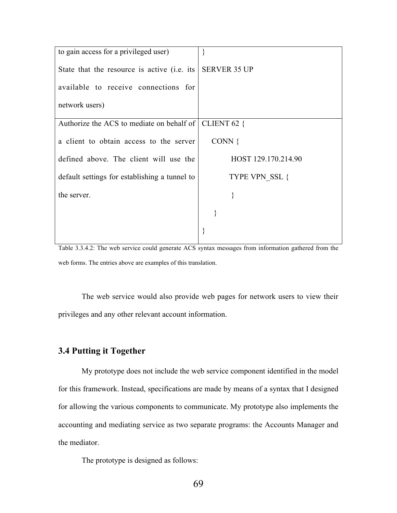| to gain access for a privileged user)                   |                       |
|---------------------------------------------------------|-----------------------|
| State that the resource is active (i.e. its             | <b>SERVER 35 UP</b>   |
| available to receive connections for                    |                       |
| network users)                                          |                       |
| Authorize the ACS to mediate on behalf of   CLIENT 62 { |                       |
| a client to obtain access to the server                 | CONN $\{$             |
| defined above. The client will use the                  | HOST 129.170.214.90   |
| default settings for establishing a tunnel to           | <b>TYPE VPN SSL {</b> |
| the server.                                             | }                     |
|                                                         |                       |
|                                                         |                       |

Table 3.3.4.2: The web service could generate ACS syntax messages from information gathered from the web forms. The entries above are examples of this translation.

The web service would also provide web pages for network users to view their privileges and any other relevant account information.

## 3.4 Putting it Together

My prototype does not include the web service component identified in the model for this framework. Instead, specifications are made by means of a syntax that I designed for allowing the various components to communicate. My prototype also implements the accounting and mediating service as two separate programs: the Accounts Manager and the mediator.

The prototype is designed as follows: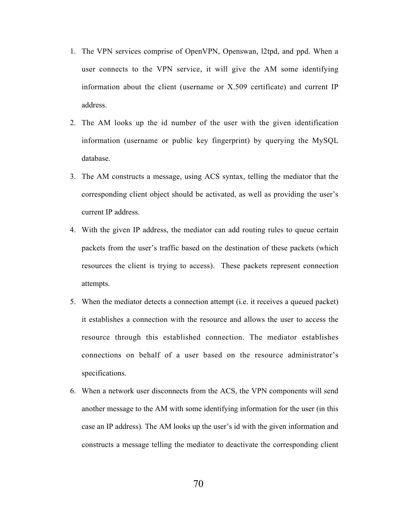- 1. The VPN services comprise of OpenVPN, Openswan, l2tpd, and ppd. When a user connects to the VPN service, it will give the AM some identifying information about the client (username or X.509 certificate) and current IP address.
- 2. The AM looks up the id number of the user with the given identification information (username or public key fingerprint) by querying the MySQL database.
- 3. The AM constructs a message, using ACS syntax, telling the mediator that the corresponding client object should be activated, as well as providing the user's current IP address.
- 4. With the given IP address, the mediator can add routing rules to queue certain packets from the user's traffic based on the destination of these packets (which resources the client is trying to access). These packets represent connection attempts.
- 5. When the mediator detects a connection attempt (i.e. it receives a queued packet) it establishes a connection with the resource and allows the user to access the resource through this established connection. The mediator establishes connections on behalf of a user based on the resource administrator's specifications.
- 6. When a network user disconnects from the ACS, the VPN components will send another message to the AM with some identifying information for the user (in this case an IP address). The AM looks up the user's id with the given information and constructs a message telling the mediator to deactivate the corresponding client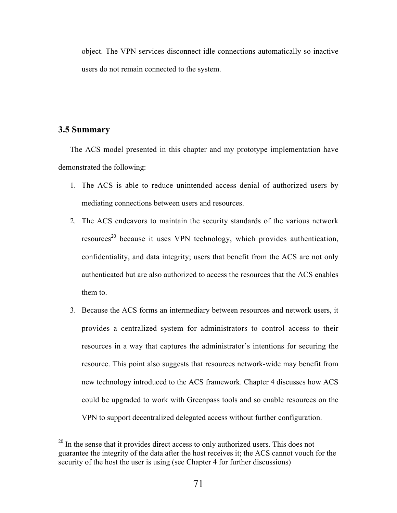object. The VPN services disconnect idle connections automatically so inactive users do not remain connected to the system.

## 3.5 Summary

The ACS model presented in this chapter and my prototype implementation have demonstrated the following:

- 1. The ACS is able to reduce unintended access denial of authorized users by mediating connections between users and resources.
- 2. The ACS endeavors to maintain the security standards of the various network resources<sup>20</sup> because it uses VPN technology, which provides authentication, confidentiality, and data integrity; users that benefit from the ACS are not only authenticated but are also authorized to access the resources that the ACS enables them to.
- 3. Because the ACS forms an intermediary between resources and network users, it provides a centralized system for administrators to control access to their resources in a way that captures the administrator's intentions for securing the resource. This point also suggests that resources network-wide may benefit from new technology introduced to the ACS framework. Chapter 4 discusses how ACS could be upgraded to work with Greenpass tools and so enable resources on the VPN to support decentralized delegated access without further configuration.

<sup>&</sup>lt;sup>20</sup> In the sense that it provides direct access to only authorized users. This does not guarantee the integrity of the data after the host receives it; the ACS cannot vouch for the security of the host the user is using (see Chapter 4 for further discussions)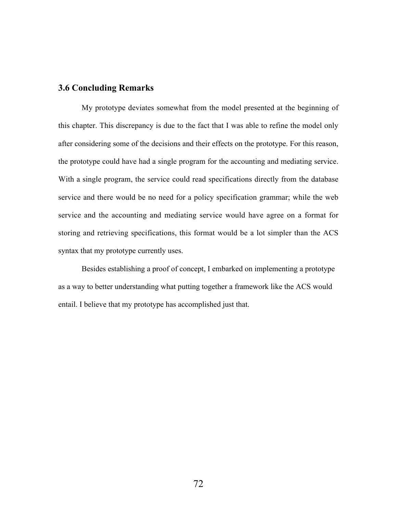## 3.6 Concluding Remarks

My prototype deviates somewhat from the model presented at the beginning of this chapter. This discrepancy is due to the fact that I was able to refine the model only after considering some of the decisions and their effects on the prototype. For this reason, the prototype could have had a single program for the accounting and mediating service. With a single program, the service could read specifications directly from the database service and there would be no need for a policy specification grammar; while the web service and the accounting and mediating service would have agree on a format for storing and retrieving specifications, this format would be a lot simpler than the ACS syntax that my prototype currently uses.

Besides establishing a proof of concept, I embarked on implementing a prototype as a way to better understanding what putting together a framework like the ACS would entail. I believe that my prototype has accomplished just that.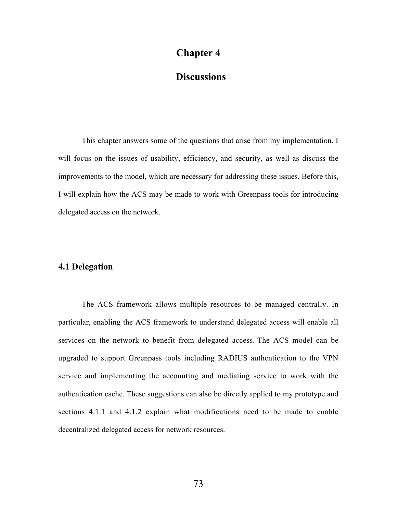# Chapter 4

# **Discussions**

This chapter answers some of the questions that arise from my implementation. I will focus on the issues of usability, efficiency, and security, as well as discuss the improvements to the model, which are necessary for addressing these issues. Before this, I will explain how the ACS may be made to work with Greenpass tools for introducing delegated access on the network.

## 4.1 Delegation

The ACS framework allows multiple resources to be managed centrally. In particular, enabling the ACS framework to understand delegated access will enable all services on the network to benefit from delegated access. The ACS model can be upgraded to support Greenpass tools including RADIUS authentication to the VPN service and implementing the accounting and mediating service to work with the authentication cache. These suggestions can also be directly applied to my prototype and sections 4.1.1 and 4.1.2 explain what modifications need to be made to enable decentralized delegated access for network resources.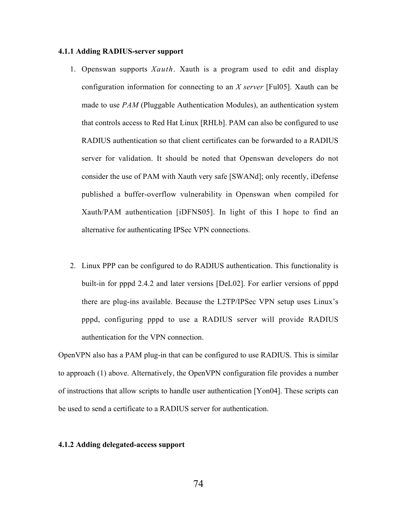### 4.1.1 Adding RADIUS-server support

- 1. Openswan supports *Xauth*. Xauth is a program used to edit and display configuration information for connecting to an *X server* [Ful05]. Xauth can be made to use *PAM* (Pluggable Authentication Modules), an authentication system that controls access to Red Hat Linux [RHLb]. PAM can also be configured to use RADIUS authentication so that client certificates can be forwarded to a RADIUS server for validation. It should be noted that Openswan developers do not consider the use of PAM with Xauth very safe [SWANd]; only recently, iDefense published a buffer-overflow vulnerability in Openswan when compiled for Xauth/PAM authentication [iDFNS05]. In light of this I hope to find an alternative for authenticating IPSec VPN connections.
- 2. Linux PPP can be configured to do RADIUS authentication. This functionality is built-in for pppd 2.4.2 and later versions [DeL02]. For earlier versions of pppd there are plug-ins available. Because the L2TP/IPSec VPN setup uses Linux's pppd, configuring pppd to use a RADIUS server will provide RADIUS authentication for the VPN connection.

OpenVPN also has a PAM plug-in that can be configured to use RADIUS. This is similar to approach (1) above. Alternatively, the OpenVPN configuration file provides a number of instructions that allow scripts to handle user authentication [Yon04]. These scripts can be used to send a certificate to a RADIUS server for authentication.

#### 4.1.2 Adding delegated-access support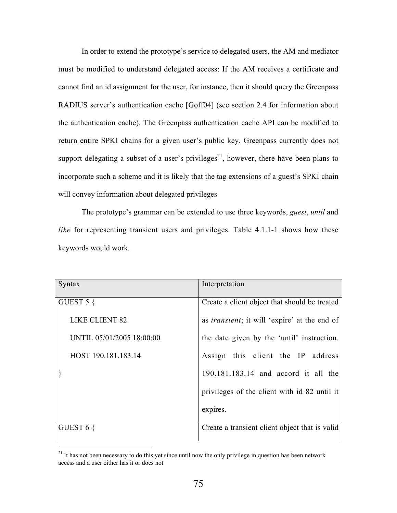In order to extend the prototype's service to delegated users, the AM and mediator must be modified to understand delegated access: If the AM receives a certificate and cannot find an id assignment for the user, for instance, then it should query the Greenpass RADIUS server's authentication cache [Goff04] (see section 2.4 for information about the authentication cache). The Greenpass authentication cache API can be modified to return entire SPKI chains for a given user's public key. Greenpass currently does not support delegating a subset of a user's privileges<sup>21</sup>, however, there have been plans to incorporate such a scheme and it is likely that the tag extensions of a guest's SPKI chain will convey information about delegated privileges

The prototype's grammar can be extended to use three keywords, *guest*, *until* and *like* for representing transient users and privileges. Table 4.1.1-1 shows how these keywords would work.

| <b>Syntax</b>             | Interpretation                                       |
|---------------------------|------------------------------------------------------|
| GUEST $5 \{$              | Create a client object that should be treated        |
| <b>LIKE CLIENT 82</b>     | as <i>transient</i> ; it will 'expire' at the end of |
| UNTIL 05/01/2005 18:00:00 | the date given by the 'until' instruction.           |
| HOST 190.181.183.14       | Assign this client the IP address                    |
|                           | 190.181.183.14 and accord it all the                 |
|                           | privileges of the client with id 82 until it         |
|                           | expires.                                             |
| GUEST $6 \{$              | Create a transient client object that is valid       |

<sup>&</sup>lt;sup>21</sup> It has not been necessary to do this yet since until now the only privilege in question has been network access and a user either has it or does not

until 6pm on May 1st 2005 and with IP and with IP and with IP and with IP and with IP and with IP and with IP and with IP and with IP and with IP and with IP and with IP and with IP and with IP and with IP and with IP and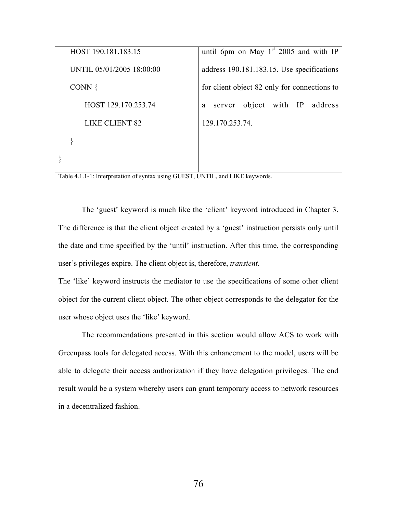| HOST 190.181.183.15       | until 6pm on May $1st$ 2005 and with IP      |  |
|---------------------------|----------------------------------------------|--|
| UNTIL 05/01/2005 18:00:00 | address 190.181.183.15. Use specifications   |  |
| CONN $\{$                 | for client object 82 only for connections to |  |
| HOST 129.170.253.74       | server object with IP<br>address<br>a        |  |
| LIKE CLIENT 82            | 129 170 253 74                               |  |
|                           |                                              |  |
|                           |                                              |  |

Table 4.1.1-1: Interpretation of syntax using GUEST, UNTIL, and LIKE keywords.

The 'guest' keyword is much like the 'client' keyword introduced in Chapter 3. The difference is that the client object created by a 'guest' instruction persists only until the date and time specified by the 'until' instruction. After this time, the corresponding user's privileges expire. The client object is, therefore, *transient*.

The 'like' keyword instructs the mediator to use the specifications of some other client object for the current client object. The other object corresponds to the delegator for the user whose object uses the 'like' keyword.

The recommendations presented in this section would allow ACS to work with Greenpass tools for delegated access. With this enhancement to the model, users will be able to delegate their access authorization if they have delegation privileges. The end result would be a system whereby users can grant temporary access to network resources in a decentralized fashion.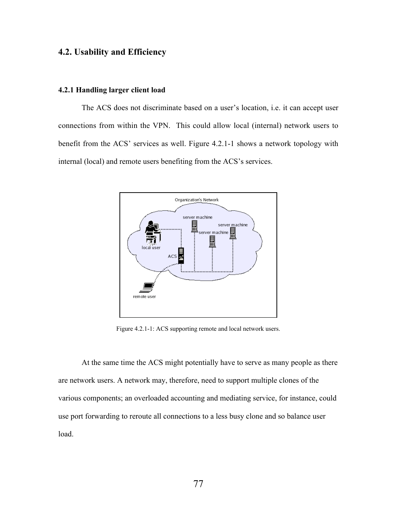## 4.2. Usability and Efficiency

#### 4.2.1 Handling larger client load

The ACS does not discriminate based on a user's location, i.e. it can accept user connections from within the VPN. This could allow local (internal) network users to benefit from the ACS' services as well. Figure 4.2.1-1 shows a network topology with internal (local) and remote users benefiting from the ACS's services.



Figure 4.2.1-1: ACS supporting remote and local network users.

At the same time the ACS might potentially have to serve as many people as there are network users. A network may, therefore, need to support multiple clones of the various components; an overloaded accounting and mediating service, for instance, could use port forwarding to reroute all connections to a less busy clone and so balance user load.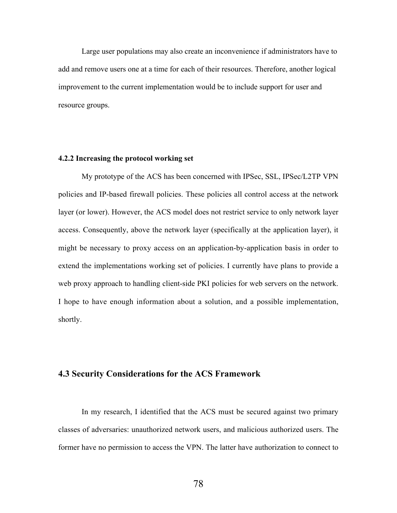Large user populations may also create an inconvenience if administrators have to add and remove users one at a time for each of their resources. Therefore, another logical improvement to the current implementation would be to include support for user and resource groups.

#### 4.2.2 Increasing the protocol working set

My prototype of the ACS has been concerned with IPSec, SSL, IPSec/L2TP VPN policies and IP-based firewall policies. These policies all control access at the network layer (or lower). However, the ACS model does not restrict service to only network layer access. Consequently, above the network layer (specifically at the application layer), it might be necessary to proxy access on an application-by-application basis in order to extend the implementations working set of policies. I currently have plans to provide a web proxy approach to handling client-side PKI policies for web servers on the network. I hope to have enough information about a solution, and a possible implementation, shortly.

### 4.3 Security Considerations for the ACS Framework

In my research, I identified that the ACS must be secured against two primary classes of adversaries: unauthorized network users, and malicious authorized users. The former have no permission to access the VPN. The latter have authorization to connect to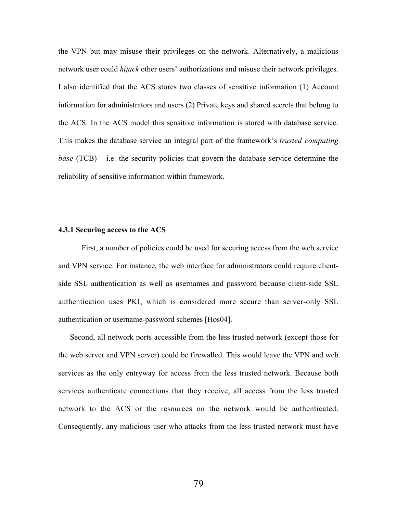the VPN but may misuse their privileges on the network. Alternatively, a malicious network user could *hijack* other users' authorizations and misuse their network privileges. I also identified that the ACS stores two classes of sensitive information (1) Account information for administrators and users (2) Private keys and shared secrets that belong to the ACS. In the ACS model this sensitive information is stored with database service. This makes the database service an integral part of the framework's *trusted computing base* (TCB) – i.e. the security policies that govern the database service determine the reliability of sensitive information within framework.

#### 4.3.1 Securing access to the ACS

First, a number of policies could be used for securing access from the web service and VPN service. For instance, the web interface for administrators could require clientside SSL authentication as well as usernames and password because client-side SSL authentication uses PKI, which is considered more secure than server-only SSL authentication or username-password schemes [Hos04].

Second, all network ports accessible from the less trusted network (except those for the web server and VPN server) could be firewalled. This would leave the VPN and web services as the only entryway for access from the less trusted network. Because both services authenticate connections that they receive, all access from the less trusted network to the ACS or the resources on the network would be authenticated. Consequently, any malicious user who attacks from the less trusted network must have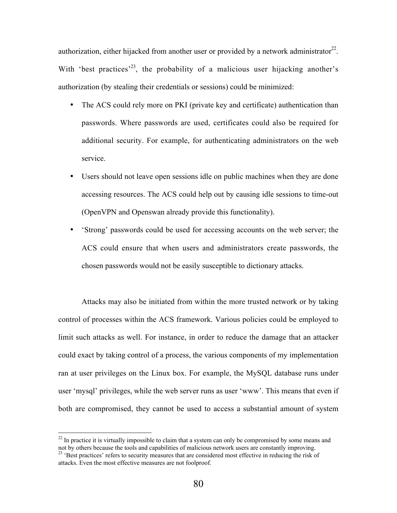authorization, either hijacked from another user or provided by a network administrator<sup>22</sup>. With 'best practices'<sup>23</sup>, the probability of a malicious user hijacking another's authorization (by stealing their credentials or sessions) could be minimized:

- The ACS could rely more on PKI (private key and certificate) authentication than passwords. Where passwords are used, certificates could also be required for additional security. For example, for authenticating administrators on the web service.
- Users should not leave open sessions idle on public machines when they are done accessing resources. The ACS could help out by causing idle sessions to time-out (OpenVPN and Openswan already provide this functionality).
- 'Strong' passwords could be used for accessing accounts on the web server; the ACS could ensure that when users and administrators create passwords, the chosen passwords would not be easily susceptible to dictionary attacks.

Attacks may also be initiated from within the more trusted network or by taking control of processes within the ACS framework. Various policies could be employed to limit such attacks as well. For instance, in order to reduce the damage that an attacker could exact by taking control of a process, the various components of my implementation ran at user privileges on the Linux box. For example, the MySQL database runs under user 'mysql' privileges, while the web server runs as user 'www'. This means that even if both are compromised, they cannot be used to access a substantial amount of system

<sup>&</sup>lt;sup>22</sup> In practice it is virtually impossible to claim that a system can only be compromised by some means and not by others because the tools and capabilities of malicious network users are constantly improving.<br><sup>23</sup> 'Best practices' refers to security measures that are considered most effective in reducing the risk of attacks. Even the most effective measures are not foolproof.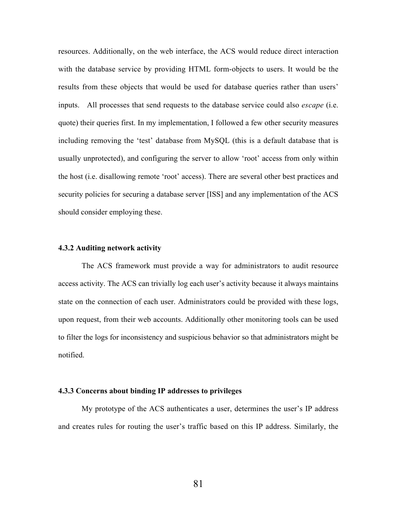resources. Additionally, on the web interface, the ACS would reduce direct interaction with the database service by providing HTML form-objects to users. It would be the results from these objects that would be used for database queries rather than users' inputs. All processes that send requests to the database service could also *escape* (i.e. quote) their queries first. In my implementation, I followed a few other security measures including removing the 'test' database from MySQL (this is a default database that is usually unprotected), and configuring the server to allow 'root' access from only within the host (i.e. disallowing remote 'root' access). There are several other best practices and security policies for securing a database server [ISS] and any implementation of the ACS should consider employing these.

#### 4.3.2 Auditing network activity

The ACS framework must provide a way for administrators to audit resource access activity. The ACS can trivially log each user's activity because it always maintains state on the connection of each user. Administrators could be provided with these logs, upon request, from their web accounts. Additionally other monitoring tools can be used to filter the logs for inconsistency and suspicious behavior so that administrators might be notified.

#### 4.3.3 Concerns about binding IP addresses to privileges

My prototype of the ACS authenticates a user, determines the user's IP address and creates rules for routing the user's traffic based on this IP address. Similarly, the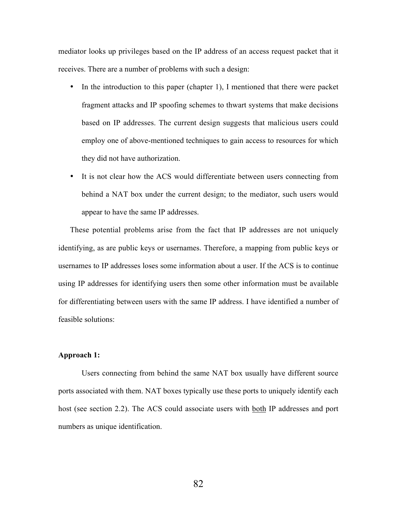mediator looks up privileges based on the IP address of an access request packet that it receives. There are a number of problems with such a design:

- In the introduction to this paper (chapter 1), I mentioned that there were packet fragment attacks and IP spoofing schemes to thwart systems that make decisions based on IP addresses. The current design suggests that malicious users could employ one of above-mentioned techniques to gain access to resources for which they did not have authorization.
- It is not clear how the ACS would differentiate between users connecting from behind a NAT box under the current design; to the mediator, such users would appear to have the same IP addresses.

These potential problems arise from the fact that IP addresses are not uniquely identifying, as are public keys or usernames. Therefore, a mapping from public keys or usernames to IP addresses loses some information about a user. If the ACS is to continue using IP addresses for identifying users then some other information must be available for differentiating between users with the same IP address. I have identified a number of feasible solutions:

### Approach 1:

Users connecting from behind the same NAT box usually have different source ports associated with them. NAT boxes typically use these ports to uniquely identify each host (see section 2.2). The ACS could associate users with <u>both</u> IP addresses and port numbers as unique identification.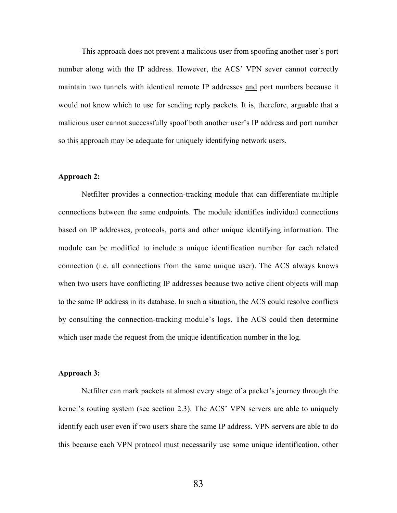This approach does not prevent a malicious user from spoofing another user's port number along with the IP address. However, the ACS' VPN sever cannot correctly maintain two tunnels with identical remote IP addresses and port numbers because it would not know which to use for sending reply packets. It is, therefore, arguable that a malicious user cannot successfully spoof both another user's IP address and port number so this approach may be adequate for uniquely identifying network users.

### Approach 2:

Netfilter provides a connection-tracking module that can differentiate multiple connections between the same endpoints. The module identifies individual connections based on IP addresses, protocols, ports and other unique identifying information. The module can be modified to include a unique identification number for each related connection (i.e. all connections from the same unique user). The ACS always knows when two users have conflicting IP addresses because two active client objects will map to the same IP address in its database. In such a situation, the ACS could resolve conflicts by consulting the connection-tracking module's logs. The ACS could then determine which user made the request from the unique identification number in the log.

#### Approach 3:

Netfilter can mark packets at almost every stage of a packet's journey through the kernel's routing system (see section 2.3). The ACS' VPN servers are able to uniquely identify each user even if two users share the same IP address. VPN servers are able to do this because each VPN protocol must necessarily use some unique identification, other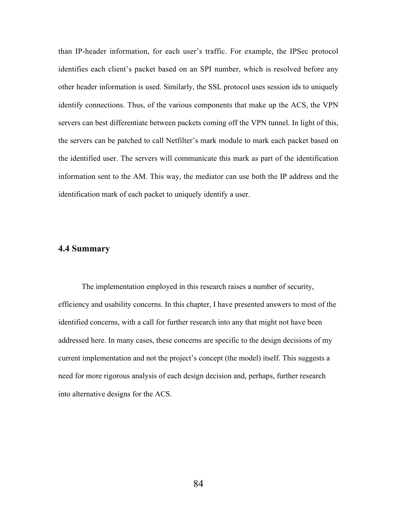than IP-header information, for each user's traffic. For example, the IPSec protocol identifies each client's packet based on an SPI number, which is resolved before any other header information is used. Similarly, the SSL protocol uses session ids to uniquely identify connections. Thus, of the various components that make up the ACS, the VPN servers can best differentiate between packets coming off the VPN tunnel. In light of this, the servers can be patched to call Netfilter's mark module to mark each packet based on the identified user. The servers will communicate this mark as part of the identification information sent to the AM. This way, the mediator can use both the IP address and the identification mark of each packet to uniquely identify a user.

### 4.4 Summary

The implementation employed in this research raises a number of security, efficiency and usability concerns. In this chapter, I have presented answers to most of the identified concerns, with a call for further research into any that might not have been addressed here. In many cases, these concerns are specific to the design decisions of my current implementation and not the project's concept (the model) itself. This suggests a need for more rigorous analysis of each design decision and, perhaps, further research into alternative designs for the ACS.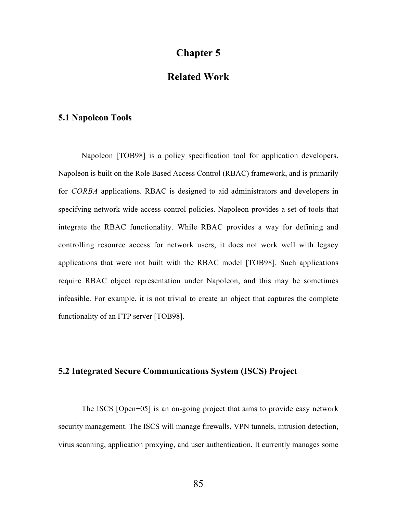# Chapter 5

# Related Work

## 5.1 Napoleon Tools

Napoleon [TOB98] is a policy specification tool for application developers. Napoleon is built on the Role Based Access Control (RBAC) framework, and is primarily for *CORBA* applications. RBAC is designed to aid administrators and developers in specifying network-wide access control policies. Napoleon provides a set of tools that integrate the RBAC functionality. While RBAC provides a way for defining and controlling resource access for network users, it does not work well with legacy applications that were not built with the RBAC model [TOB98]. Such applications require RBAC object representation under Napoleon, and this may be sometimes infeasible. For example, it is not trivial to create an object that captures the complete functionality of an FTP server [TOB98].

## 5.2 Integrated Secure Communications System (ISCS) Project

The ISCS [Open+05] is an on-going project that aims to provide easy network security management. The ISCS will manage firewalls, VPN tunnels, intrusion detection, virus scanning, application proxying, and user authentication. It currently manages some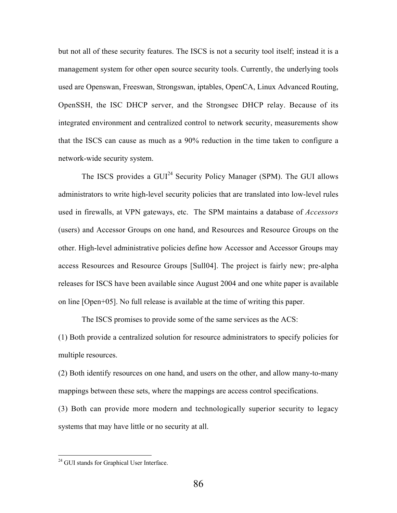but not all of these security features. The ISCS is not a security tool itself; instead it is a management system for other open source security tools. Currently, the underlying tools used are Openswan, Freeswan, Strongswan, iptables, OpenCA, Linux Advanced Routing, OpenSSH, the ISC DHCP server, and the Strongsec DHCP relay. Because of its integrated environment and centralized control to network security, measurements show that the ISCS can cause as much as a 90% reduction in the time taken to configure a network-wide security system.

The ISCS provides a GUI<sup>24</sup> Security Policy Manager (SPM). The GUI allows administrators to write high-level security policies that are translated into low-level rules used in firewalls, at VPN gateways, etc. The SPM maintains a database of *Accessors* (users) and Accessor Groups on one hand, and Resources and Resource Groups on the other. High-level administrative policies define how Accessor and Accessor Groups may access Resources and Resource Groups [Sull04]. The project is fairly new; pre-alpha releases for ISCS have been available since August 2004 and one white paper is available on line [Open+05]. No full release is available at the time of writing this paper.

The ISCS promises to provide some of the same services as the ACS:

(1) Both provide a centralized solution for resource administrators to specify policies for multiple resources.

(2) Both identify resources on one hand, and users on the other, and allow many-to-many mappings between these sets, where the mappings are access control specifications.

(3) Both can provide more modern and technologically superior security to legacy systems that may have little or no security at all.

<sup>&</sup>lt;sup>24</sup> GUI stands for Graphical User Interface.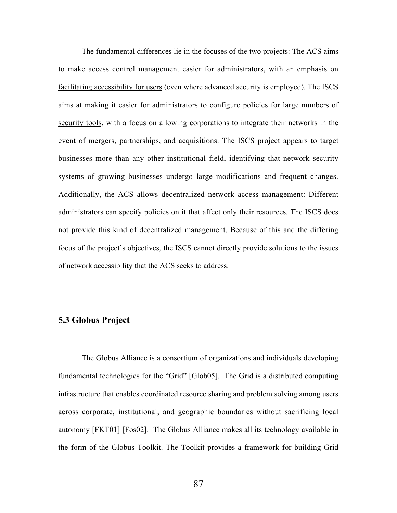The fundamental differences lie in the focuses of the two projects: The ACS aims to make access control management easier for administrators, with an emphasis on facilitating accessibility for users (even where advanced security is employed). The ISCS aims at making it easier for administrators to configure policies for large numbers of security tools, with a focus on allowing corporations to integrate their networks in the event of mergers, partnerships, and acquisitions. The ISCS project appears to target businesses more than any other institutional field, identifying that network security systems of growing businesses undergo large modifications and frequent changes. Additionally, the ACS allows decentralized network access management: Different administrators can specify policies on it that affect only their resources. The ISCS does not provide this kind of decentralized management. Because of this and the differing focus of the project's objectives, the ISCS cannot directly provide solutions to the issues of network accessibility that the ACS seeks to address.

## 5.3 Globus Project

The Globus Alliance is a consortium of organizations and individuals developing fundamental technologies for the "Grid" [Glob05]. The Grid is a distributed computing infrastructure that enables coordinated resource sharing and problem solving among users across corporate, institutional, and geographic boundaries without sacrificing local autonomy [FKT01] [Fos02]. The Globus Alliance makes all its technology available in the form of the Globus Toolkit. The Toolkit provides a framework for building Grid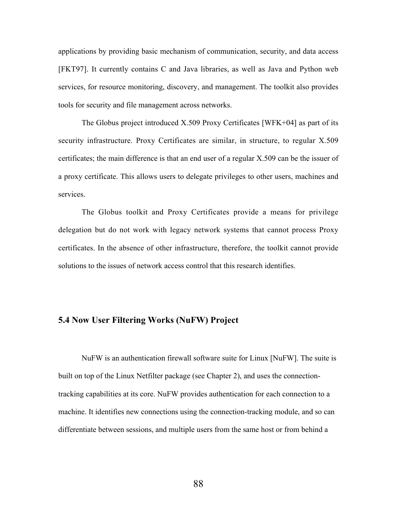applications by providing basic mechanism of communication, security, and data access [FKT97]. It currently contains C and Java libraries, as well as Java and Python web services, for resource monitoring, discovery, and management. The toolkit also provides tools for security and file management across networks.

The Globus project introduced X.509 Proxy Certificates [WFK+04] as part of its security infrastructure. Proxy Certificates are similar, in structure, to regular X.509 certificates; the main difference is that an end user of a regular X.509 can be the issuer of a proxy certificate. This allows users to delegate privileges to other users, machines and services.

The Globus toolkit and Proxy Certificates provide a means for privilege delegation but do not work with legacy network systems that cannot process Proxy certificates. In the absence of other infrastructure, therefore, the toolkit cannot provide solutions to the issues of network access control that this research identifies.

### 5.4 Now User Filtering Works (NuFW) Project

NuFW is an authentication firewall software suite for Linux [NuFW]. The suite is built on top of the Linux Netfilter package (see Chapter 2), and uses the connectiontracking capabilities at its core. NuFW provides authentication for each connection to a machine. It identifies new connections using the connection-tracking module, and so can differentiate between sessions, and multiple users from the same host or from behind a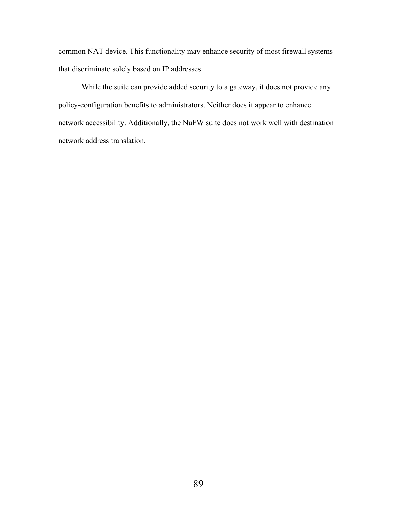common NAT device. This functionality may enhance security of most firewall systems that discriminate solely based on IP addresses.

While the suite can provide added security to a gateway, it does not provide any policy-configuration benefits to administrators. Neither does it appear to enhance network accessibility. Additionally, the NuFW suite does not work well with destination network address translation.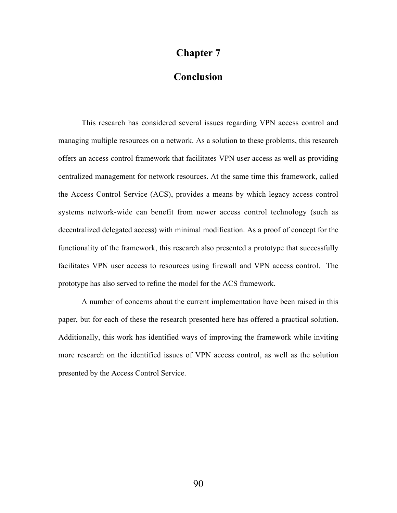# Chapter 7

# Conclusion

This research has considered several issues regarding VPN access control and managing multiple resources on a network. As a solution to these problems, this research offers an access control framework that facilitates VPN user access as well as providing centralized management for network resources. At the same time this framework, called the Access Control Service (ACS), provides a means by which legacy access control systems network-wide can benefit from newer access control technology (such as decentralized delegated access) with minimal modification. As a proof of concept for the functionality of the framework, this research also presented a prototype that successfully facilitates VPN user access to resources using firewall and VPN access control. The prototype has also served to refine the model for the ACS framework.

A number of concerns about the current implementation have been raised in this paper, but for each of these the research presented here has offered a practical solution. Additionally, this work has identified ways of improving the framework while inviting more research on the identified issues of VPN access control, as well as the solution presented by the Access Control Service.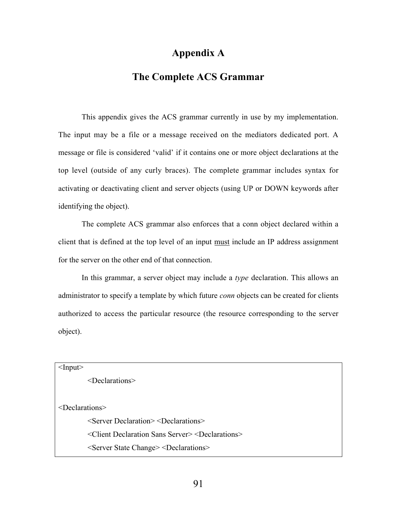# Appendix A

# The Complete ACS Grammar

This appendix gives the ACS grammar currently in use by my implementation. The input may be a file or a message received on the mediators dedicated port. A message or file is considered 'valid' if it contains one or more object declarations at the top level (outside of any curly braces). The complete grammar includes syntax for activating or deactivating client and server objects (using UP or DOWN keywords after identifying the object).

The complete ACS grammar also enforces that a conn object declared within a client that is defined at the top level of an input must include an IP address assignment for the server on the other end of that connection.

In this grammar, a server object may include a *type* declaration. This allows an administrator to specify a template by which future *conn* objects can be created for clients authorized to access the particular resource (the resource corresponding to the server object).

 $<$ Input $>$ 

<Declarations>

<Declarations>

<Server Declaration> <Declarations> <Client Declaration Sans Server> <Declarations> <Server State Change> <Declarations>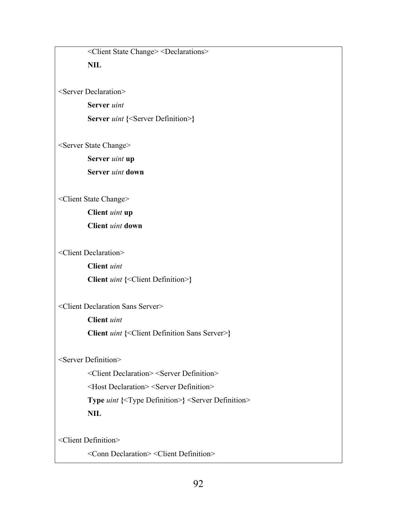<Client State Change> <Declarations>

NIL

<Server Declaration>

Server *uint*

Server *uint* {<Server Definition>}

<Server State Change>

Server *uint* up

Server *uint* down

<Client State Change>

Client *uint* up Client *uint* down

<Client Declaration>

Client *uint*

Client *uint* {<Client Definition>}

<Client Declaration Sans Server>

Client *uint*

Client *uint* {<Client Definition Sans Server>}

<Server Definition>

<Client Declaration> <Server Definition>

<Host Declaration> <Server Definition>

Type *uint* {<Type Definition>} <Server Definition> NIL

<Client Definition>

<Conn Declaration> <Client Definition>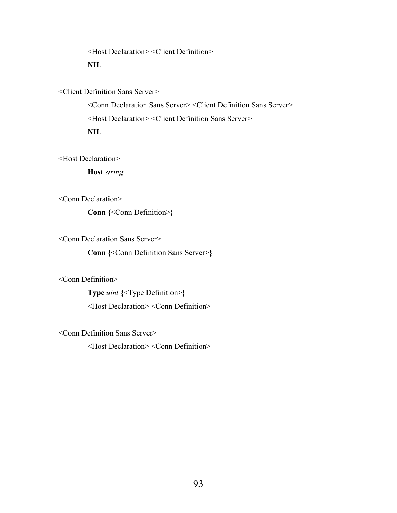<Host Declaration> <Client Definition> NIL

<Client Definition Sans Server>

<Conn Declaration Sans Server> <Client Definition Sans Server> <Host Declaration> <Client Definition Sans Server> NIL

<Host Declaration>

Host *string*

<Conn Declaration>

Conn {< Conn Definition >}

<Conn Declaration Sans Server>

Conn {<Conn Definition Sans Server>}

<Conn Definition>

Type *uint* {<Type Definition>}

<Host Declaration> <Conn Definition>

<Conn Definition Sans Server>

<Host Declaration> <Conn Definition>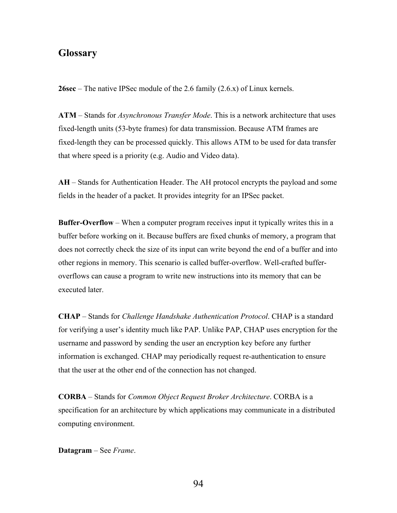# **Glossary**

**26sec** – The native IPSec module of the 2.6 family  $(2.6 \text{ x})$  of Linux kernels.

ATM – Stands for *Asynchronous Transfer Mode*. This is a network architecture that uses fixed-length units (53-byte frames) for data transmission. Because ATM frames are fixed-length they can be processed quickly. This allows ATM to be used for data transfer that where speed is a priority (e.g. Audio and Video data).

AH – Stands for Authentication Header. The AH protocol encrypts the payload and some fields in the header of a packet. It provides integrity for an IPSec packet.

Buffer-Overflow – When a computer program receives input it typically writes this in a buffer before working on it. Because buffers are fixed chunks of memory, a program that does not correctly check the size of its input can write beyond the end of a buffer and into other regions in memory. This scenario is called buffer-overflow. Well-crafted bufferoverflows can cause a program to write new instructions into its memory that can be executed later.

CHAP – Stands for *Challenge Handshake Authentication Protocol*. CHAP is a standard for verifying a user's identity much like PAP. Unlike PAP, CHAP uses encryption for the username and password by sending the user an encryption key before any further information is exchanged. CHAP may periodically request re-authentication to ensure that the user at the other end of the connection has not changed.

CORBA – Stands for *Common Object Request Broker Architecture*. CORBA is a specification for an architecture by which applications may communicate in a distributed computing environment.

Datagram – See *Frame*.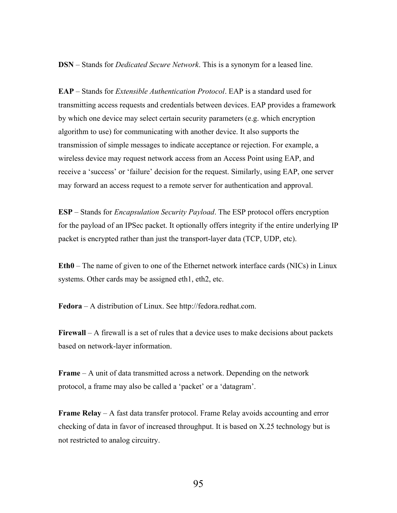DSN – Stands for *Dedicated Secure Network*. This is a synonym for a leased line.

EAP – Stands for *Extensible Authentication Protocol*. EAP is a standard used for transmitting access requests and credentials between devices. EAP provides a framework by which one device may select certain security parameters (e.g. which encryption algorithm to use) for communicating with another device. It also supports the transmission of simple messages to indicate acceptance or rejection. For example, a wireless device may request network access from an Access Point using EAP, and receive a 'success' or 'failure' decision for the request. Similarly, using EAP, one server may forward an access request to a remote server for authentication and approval.

ESP – Stands for *Encapsulation Security Payload*. The ESP protocol offers encryption for the payload of an IPSec packet. It optionally offers integrity if the entire underlying IP packet is encrypted rather than just the transport-layer data (TCP, UDP, etc).

Eth0 – The name of given to one of the Ethernet network interface cards (NICs) in Linux systems. Other cards may be assigned eth1, eth2, etc.

Fedora – A distribution of Linux. See http://fedora.redhat.com.

Firewall – A firewall is a set of rules that a device uses to make decisions about packets based on network-layer information.

Frame – A unit of data transmitted across a network. Depending on the network protocol, a frame may also be called a 'packet' or a 'datagram'.

Frame Relay – A fast data transfer protocol. Frame Relay avoids accounting and error checking of data in favor of increased throughput. It is based on X.25 technology but is not restricted to analog circuitry.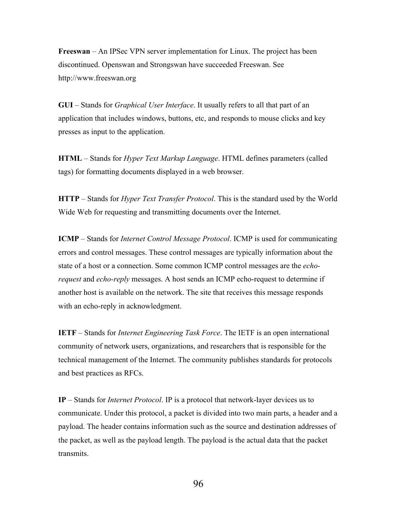Freeswan – An IPSec VPN server implementation for Linux. The project has been discontinued. Openswan and Strongswan have succeeded Freeswan. See http://www.freeswan.org

GUI – Stands for *Graphical User Interface*. It usually refers to all that part of an application that includes windows, buttons, etc, and responds to mouse clicks and key presses as input to the application.

HTML – Stands for *Hyper Text Markup Language*. HTML defines parameters (called tags) for formatting documents displayed in a web browser.

HTTP – Stands for *Hyper Text Transfer Protocol*. This is the standard used by the World Wide Web for requesting and transmitting documents over the Internet.

ICMP – Stands for *Internet Control Message Protocol*. ICMP is used for communicating errors and control messages. These control messages are typically information about the state of a host or a connection. Some common ICMP control messages are the *echorequest* and *echo-reply* messages. A host sends an ICMP echo-request to determine if another host is available on the network. The site that receives this message responds with an echo-reply in acknowledgment.

IETF – Stands for *Internet Engineering Task Force*. The IETF is an open international community of network users, organizations, and researchers that is responsible for the technical management of the Internet. The community publishes standards for protocols and best practices as RFCs.

IP – Stands for *Internet Protocol*. IP is a protocol that network-layer devices us to communicate. Under this protocol, a packet is divided into two main parts, a header and a payload. The header contains information such as the source and destination addresses of the packet, as well as the payload length. The payload is the actual data that the packet transmits.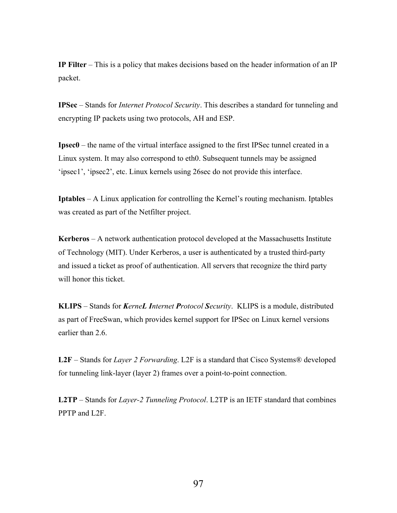IP Filter – This is a policy that makes decisions based on the header information of an IP packet.

IPSec – Stands for *Internet Protocol Security*. This describes a standard for tunneling and encrypting IP packets using two protocols, AH and ESP.

Ipsec0 – the name of the virtual interface assigned to the first IPSec tunnel created in a Linux system. It may also correspond to eth0. Subsequent tunnels may be assigned 'ipsec1', 'ipsec2', etc. Linux kernels using 26sec do not provide this interface.

Iptables – A Linux application for controlling the Kernel's routing mechanism. Iptables was created as part of the Netfilter project.

Kerberos – A network authentication protocol developed at the Massachusetts Institute of Technology (MIT). Under Kerberos, a user is authenticated by a trusted third-party and issued a ticket as proof of authentication. All servers that recognize the third party will honor this ticket.

KLIPS – Stands for *KerneL Internet Protocol Security*. KLIPS is a module, distributed as part of FreeSwan, which provides kernel support for IPSec on Linux kernel versions earlier than 2.6

L2F – Stands for *Layer 2 Forwarding*. L2F is a standard that Cisco Systems® developed for tunneling link-layer (layer 2) frames over a point-to-point connection.

L2TP – Stands for *Layer-2 Tunneling Protocol*. L2TP is an IETF standard that combines PPTP and L2F.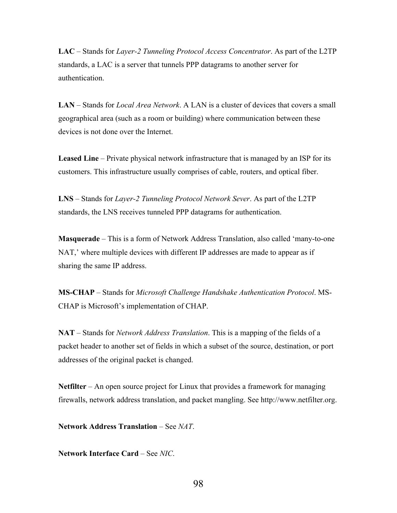LAC – Stands for *Layer-2 Tunneling Protocol Access Concentrator*. As part of the L2TP standards, a LAC is a server that tunnels PPP datagrams to another server for authentication.

LAN – Stands for *Local Area Network*. A LAN is a cluster of devices that covers a small geographical area (such as a room or building) where communication between these devices is not done over the Internet.

Leased Line – Private physical network infrastructure that is managed by an ISP for its customers. This infrastructure usually comprises of cable, routers, and optical fiber.

LNS – Stands for *Layer-2 Tunneling Protocol Network Sever*. As part of the L2TP standards, the LNS receives tunneled PPP datagrams for authentication.

Masquerade – This is a form of Network Address Translation, also called 'many-to-one NAT,' where multiple devices with different IP addresses are made to appear as if sharing the same IP address.

MS-CHAP – Stands for *Microsoft Challenge Handshake Authentication Protocol*. MS-CHAP is Microsoft's implementation of CHAP.

NAT – Stands for *Network Address Translation*. This is a mapping of the fields of a packet header to another set of fields in which a subset of the source, destination, or port addresses of the original packet is changed.

Netfilter – An open source project for Linux that provides a framework for managing firewalls, network address translation, and packet mangling. See http://www.netfilter.org.

Network Address Translation – See *NAT*.

Network Interface Card – See *NIC*.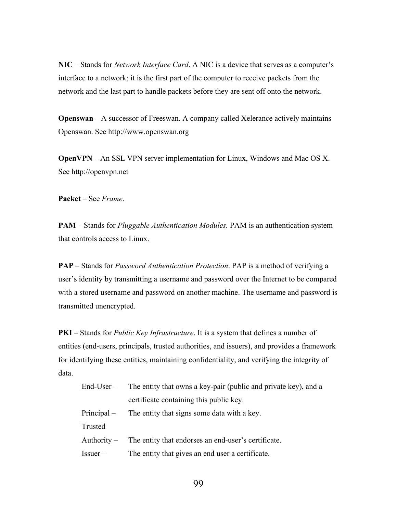NIC – Stands for *Network Interface Card*. A NIC is a device that serves as a computer's interface to a network; it is the first part of the computer to receive packets from the network and the last part to handle packets before they are sent off onto the network.

Openswan – A successor of Freeswan. A company called Xelerance actively maintains Openswan. See http://www.openswan.org

OpenVPN – An SSL VPN server implementation for Linux, Windows and Mac OS X. See http://openvpn.net

Packet – See *Frame*.

PAM – Stands for *Pluggable Authentication Modules.* PAM is an authentication system that controls access to Linux.

PAP – Stands for *Password Authentication Protection*. PAP is a method of verifying a user's identity by transmitting a username and password over the Internet to be compared with a stored username and password on another machine. The username and password is transmitted unencrypted.

PKI – Stands for *Public Key Infrastructure*. It is a system that defines a number of entities (end-users, principals, trusted authorities, and issuers), and provides a framework for identifying these entities, maintaining confidentiality, and verifying the integrity of data.

|          | End-User – The entity that owns a key-pair (public and private key), and a |  |
|----------|----------------------------------------------------------------------------|--|
|          | certificate containing this public key.                                    |  |
|          | Principal – The entity that signs some data with a key.                    |  |
| Trusted  |                                                                            |  |
|          | Authority – The entity that endorses an end-user's certificate.            |  |
| Issuer – | The entity that gives an end user a certificate.                           |  |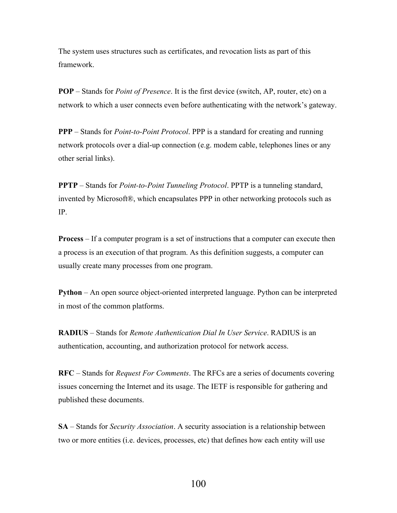The system uses structures such as certificates, and revocation lists as part of this framework.

POP – Stands for *Point of Presence*. It is the first device (switch, AP, router, etc) on a network to which a user connects even before authenticating with the network's gateway.

PPP – Stands for *Point-to-Point Protocol*. PPP is a standard for creating and running network protocols over a dial-up connection (e.g. modem cable, telephones lines or any other serial links).

PPTP – Stands for *Point-to-Point Tunneling Protocol*. PPTP is a tunneling standard, invented by Microsoft®, which encapsulates PPP in other networking protocols such as IP.

Process – If a computer program is a set of instructions that a computer can execute then a process is an execution of that program. As this definition suggests, a computer can usually create many processes from one program.

Python – An open source object-oriented interpreted language. Python can be interpreted in most of the common platforms.

RADIUS – Stands for *Remote Authentication Dial In User Service*. RADIUS is an authentication, accounting, and authorization protocol for network access.

RFC – Stands for *Request For Comments*. The RFCs are a series of documents covering issues concerning the Internet and its usage. The IETF is responsible for gathering and published these documents.

SA – Stands for *Security Association*. A security association is a relationship between two or more entities (i.e. devices, processes, etc) that defines how each entity will use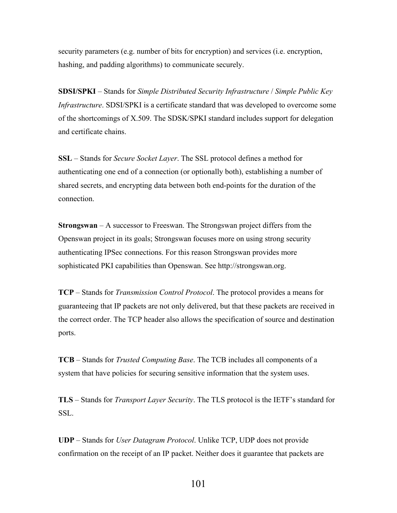security parameters (e.g. number of bits for encryption) and services (i.e. encryption, hashing, and padding algorithms) to communicate securely.

SDSI/SPKI – Stands for *Simple Distributed Security Infrastructure* / *Simple Public Key Infrastructure*. SDSI/SPKI is a certificate standard that was developed to overcome some of the shortcomings of X.509. The SDSK/SPKI standard includes support for delegation and certificate chains.

SSL – Stands for *Secure Socket Layer*. The SSL protocol defines a method for authenticating one end of a connection (or optionally both), establishing a number of shared secrets, and encrypting data between both end-points for the duration of the connection.

Strongswan – A successor to Freeswan. The Strongswan project differs from the Openswan project in its goals; Strongswan focuses more on using strong security authenticating IPSec connections. For this reason Strongswan provides more sophisticated PKI capabilities than Openswan. See http://strongswan.org.

TCP – Stands for *Transmission Control Protocol*. The protocol provides a means for guaranteeing that IP packets are not only delivered, but that these packets are received in the correct order. The TCP header also allows the specification of source and destination ports.

TCB – Stands for *Trusted Computing Base*. The TCB includes all components of a system that have policies for securing sensitive information that the system uses.

TLS – Stands for *Transport Layer Security*. The TLS protocol is the IETF's standard for SSL.

UDP – Stands for *User Datagram Protocol*. Unlike TCP, UDP does not provide confirmation on the receipt of an IP packet. Neither does it guarantee that packets are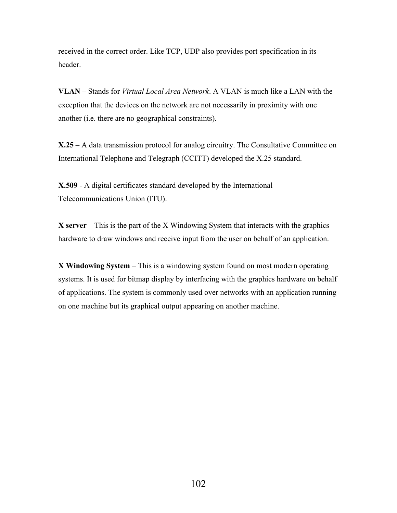received in the correct order. Like TCP, UDP also provides port specification in its header.

VLAN – Stands for *Virtual Local Area Network*. A VLAN is much like a LAN with the exception that the devices on the network are not necessarily in proximity with one another (i.e. there are no geographical constraints).

X.25 – A data transmission protocol for analog circuitry. The Consultative Committee on International Telephone and Telegraph (CCITT) developed the X.25 standard.

X.509 - A digital certificates standard developed by the International Telecommunications Union (ITU).

 $X$  server – This is the part of the X Windowing System that interacts with the graphics hardware to draw windows and receive input from the user on behalf of an application.

X Windowing System – This is a windowing system found on most modern operating systems. It is used for bitmap display by interfacing with the graphics hardware on behalf of applications. The system is commonly used over networks with an application running on one machine but its graphical output appearing on another machine.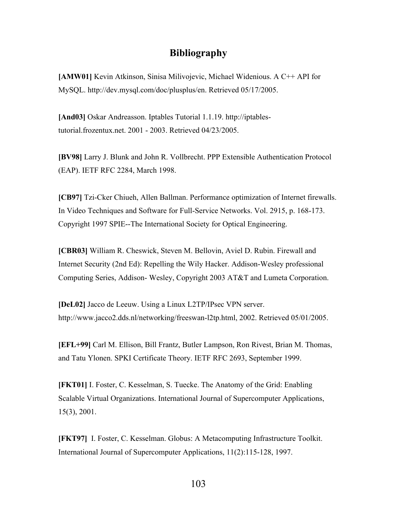## Bibliography

[AMW01] Kevin Atkinson, Sinisa Milivojevic, Michael Widenious. A C++ API for MySQL. http://dev.mysql.com/doc/plusplus/en. Retrieved 05/17/2005.

[And03] Oskar Andreasson. Iptables Tutorial 1.1.19. http://iptablestutorial.frozentux.net. 2001 - 2003. Retrieved 04/23/2005.

[BV98] Larry J. Blunk and John R. Vollbrecht. PPP Extensible Authentication Protocol (EAP). IETF RFC 2284, March 1998.

[CB97] Tzi-Cker Chiueh, Allen Ballman. Performance optimization of Internet firewalls. In Video Techniques and Software for Full-Service Networks. Vol. 2915, p. 168-173. Copyright 1997 SPIE--The International Society for Optical Engineering.

[CBR03] William R. Cheswick, Steven M. Bellovin, Aviel D. Rubin. Firewall and Internet Security (2nd Ed): Repelling the Wily Hacker. Addison-Wesley professional Computing Series, Addison- Wesley, Copyright 2003 AT&T and Lumeta Corporation.

[DeL02] Jacco de Leeuw. Using a Linux L2TP/IPsec VPN server. http://www.jacco2.dds.nl/networking/freeswan-l2tp.html, 2002. Retrieved 05/01/2005.

[EFL+99] Carl M. Ellison, Bill Frantz, Butler Lampson, Ron Rivest, Brian M. Thomas, and Tatu Ylonen. SPKI Certificate Theory. IETF RFC 2693, September 1999.

[FKT01] I. Foster, C. Kesselman, S. Tuecke. The Anatomy of the Grid: Enabling Scalable Virtual Organizations. International Journal of Supercomputer Applications, 15(3), 2001.

[FKT97] I. Foster, C. Kesselman. Globus: A Metacomputing Infrastructure Toolkit. International Journal of Supercomputer Applications, 11(2):115-128, 1997.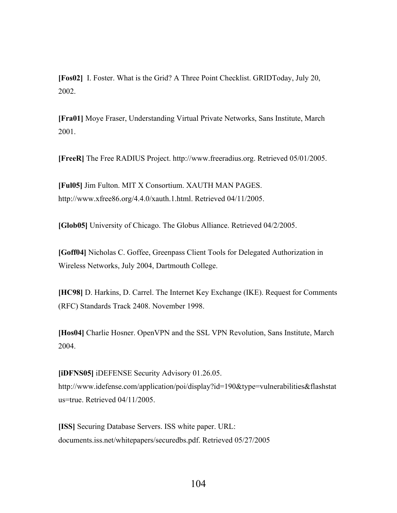[Fos02] I. Foster. What is the Grid? A Three Point Checklist. GRIDToday, July 20, 2002.

[Fra01] Moye Fraser, Understanding Virtual Private Networks, Sans Institute, March 2001.

[FreeR] The Free RADIUS Project. http://www.freeradius.org. Retrieved 05/01/2005.

[Ful05] Jim Fulton. MIT X Consortium. XAUTH MAN PAGES. http://www.xfree86.org/4.4.0/xauth.1.html. Retrieved 04/11/2005.

[Glob05] University of Chicago. The Globus Alliance. Retrieved 04/2/2005.

[Goff04] Nicholas C. Goffee, Greenpass Client Tools for Delegated Authorization in Wireless Networks, July 2004, Dartmouth College.

[HC98] D. Harkins, D. Carrel. The Internet Key Exchange (IKE). Request for Comments (RFC) Standards Track 2408. November 1998.

[Hos04] Charlie Hosner. OpenVPN and the SSL VPN Revolution, Sans Institute, March 2004.

[iDFNS05] iDEFENSE Security Advisory 01.26.05. http://www.idefense.com/application/poi/display?id=190&type=vulnerabilities&flashstat us=true. Retrieved 04/11/2005.

[ISS] Securing Database Servers. ISS white paper. URL: documents.iss.net/whitepapers/securedbs.pdf. Retrieved 05/27/2005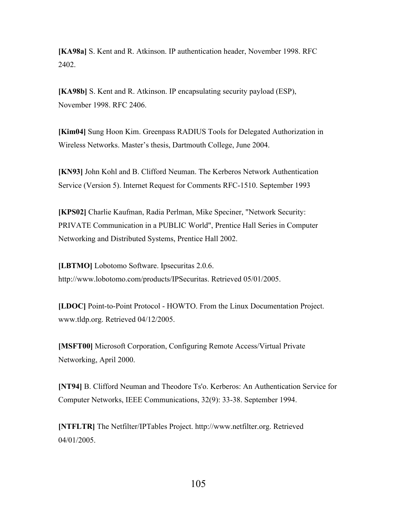[KA98a] S. Kent and R. Atkinson. IP authentication header, November 1998. RFC 2402.

[KA98b] S. Kent and R. Atkinson. IP encapsulating security payload (ESP), November 1998. RFC 2406.

[Kim04] Sung Hoon Kim. Greenpass RADIUS Tools for Delegated Authorization in Wireless Networks. Master's thesis, Dartmouth College, June 2004.

[KN93] John Kohl and B. Clifford Neuman. The Kerberos Network Authentication Service (Version 5). Internet Request for Comments RFC-1510. September 1993

[KPS02] Charlie Kaufman, Radia Perlman, Mike Speciner, "Network Security: PRIVATE Communication in a PUBLIC World", Prentice Hall Series in Computer Networking and Distributed Systems, Prentice Hall 2002.

[LBTMO] Lobotomo Software. Ipsecuritas 2.0.6. http://www.lobotomo.com/products/IPSecuritas. Retrieved 05/01/2005.

[LDOC] Point-to-Point Protocol - HOWTO. From the Linux Documentation Project. www.tldp.org. Retrieved 04/12/2005.

[MSFT00] Microsoft Corporation, Configuring Remote Access/Virtual Private Networking, April 2000.

[NT94] B. Clifford Neuman and Theodore Ts'o. Kerberos: An Authentication Service for Computer Networks, IEEE Communications, 32(9): 33-38. September 1994.

[NTFLTR] The Netfilter/IPTables Project. http://www.netfilter.org. Retrieved 04/01/2005.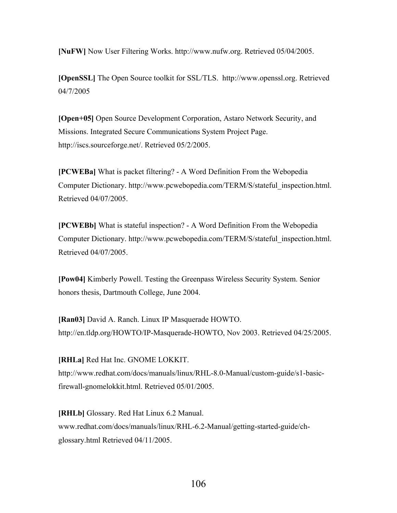[NuFW] Now User Filtering Works. http://www.nufw.org. Retrieved 05/04/2005.

[OpenSSL] The Open Source toolkit for SSL/TLS. http://www.openssl.org. Retrieved 04/7/2005

[Open+05] Open Source Development Corporation, Astaro Network Security, and Missions. Integrated Secure Communications System Project Page. http://iscs.sourceforge.net/. Retrieved 05/2/2005.

[PCWEBa] What is packet filtering? - A Word Definition From the Webopedia Computer Dictionary. http://www.pcwebopedia.com/TERM/S/stateful\_inspection.html. Retrieved 04/07/2005.

[PCWEBb] What is stateful inspection? - A Word Definition From the Webopedia Computer Dictionary. http://www.pcwebopedia.com/TERM/S/stateful\_inspection.html. Retrieved 04/07/2005.

[Pow04] Kimberly Powell. Testing the Greenpass Wireless Security System. Senior honors thesis, Dartmouth College, June 2004.

[Ran03] David A. Ranch. Linux IP Masquerade HOWTO. http://en.tldp.org/HOWTO/IP-Masquerade-HOWTO, Nov 2003. Retrieved 04/25/2005.

[RHLa] Red Hat Inc. GNOME LOKKIT. http://www.redhat.com/docs/manuals/linux/RHL-8.0-Manual/custom-guide/s1-basicfirewall-gnomelokkit.html. Retrieved 05/01/2005.

[RHLb] Glossary. Red Hat Linux 6.2 Manual. www.redhat.com/docs/manuals/linux/RHL-6.2-Manual/getting-started-guide/chglossary.html Retrieved 04/11/2005.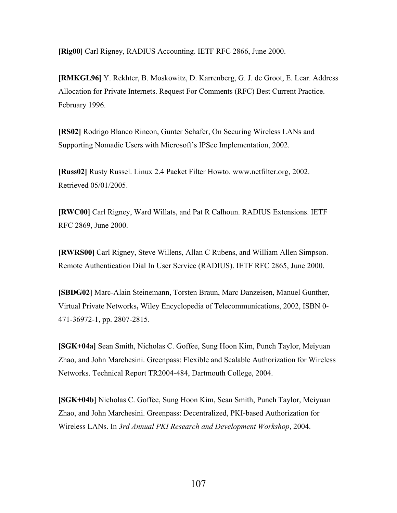[Rig00] Carl Rigney, RADIUS Accounting. IETF RFC 2866, June 2000.

[RMKGL96] Y. Rekhter, B. Moskowitz, D. Karrenberg, G. J. de Groot, E. Lear. Address Allocation for Private Internets. Request For Comments (RFC) Best Current Practice. February 1996.

[RS02] Rodrigo Blanco Rincon, Gunter Schafer, On Securing Wireless LANs and Supporting Nomadic Users with Microsoft's IPSec Implementation, 2002.

[Russ02] Rusty Russel. Linux 2.4 Packet Filter Howto. www.netfilter.org, 2002. Retrieved 05/01/2005.

[RWC00] Carl Rigney, Ward Willats, and Pat R Calhoun. RADIUS Extensions. IETF RFC 2869, June 2000.

[RWRS00] Carl Rigney, Steve Willens, Allan C Rubens, and William Allen Simpson. Remote Authentication Dial In User Service (RADIUS). IETF RFC 2865, June 2000.

[SBDG02] Marc-Alain Steinemann, Torsten Braun, Marc Danzeisen, Manuel Gunther, Virtual Private Networks, Wiley Encyclopedia of Telecommunications, 2002, ISBN 0- 471-36972-1, pp. 2807-2815.

[SGK+04a] Sean Smith, Nicholas C. Goffee, Sung Hoon Kim, Punch Taylor, Meiyuan Zhao, and John Marchesini. Greenpass: Flexible and Scalable Authorization for Wireless Networks. Technical Report TR2004-484, Dartmouth College, 2004.

[SGK+04b] Nicholas C. Goffee, Sung Hoon Kim, Sean Smith, Punch Taylor, Meiyuan Zhao, and John Marchesini. Greenpass: Decentralized, PKI-based Authorization for Wireless LANs. In *3rd Annual PKI Research and Development Workshop*, 2004.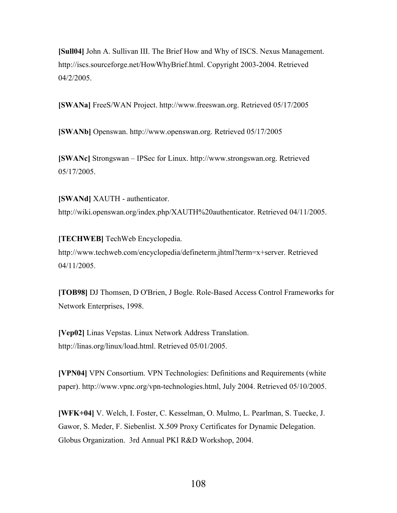[Sull04] John A. Sullivan III. The Brief How and Why of ISCS. Nexus Management. http://iscs.sourceforge.net/HowWhyBrief.html. Copyright 2003-2004. Retrieved 04/2/2005.

[SWANa] FreeS/WAN Project. http://www.freeswan.org. Retrieved 05/17/2005

[SWANb] Openswan. http://www.openswan.org. Retrieved 05/17/2005

[SWANc] Strongswan – IPSec for Linux. http://www.strongswan.org. Retrieved 05/17/2005.

[SWANd] XAUTH - authenticator. http://wiki.openswan.org/index.php/XAUTH%20authenticator. Retrieved 04/11/2005.

[TECHWEB] TechWeb Encyclopedia. http://www.techweb.com/encyclopedia/defineterm.jhtml?term=x+server. Retrieved 04/11/2005.

[TOB98] DJ Thomsen, D O'Brien, J Bogle. Role-Based Access Control Frameworks for Network Enterprises, 1998.

[Vep02] Linas Vepstas. Linux Network Address Translation. http://linas.org/linux/load.html. Retrieved 05/01/2005.

[VPN04] VPN Consortium. VPN Technologies: Definitions and Requirements (white paper). http://www.vpnc.org/vpn-technologies.html, July 2004. Retrieved 05/10/2005.

[WFK+04] V. Welch, I. Foster, C. Kesselman, O. Mulmo, L. Pearlman, S. Tuecke, J. Gawor, S. Meder, F. Siebenlist. X.509 Proxy Certificates for Dynamic Delegation. Globus Organization. 3rd Annual PKI R&D Workshop, 2004.